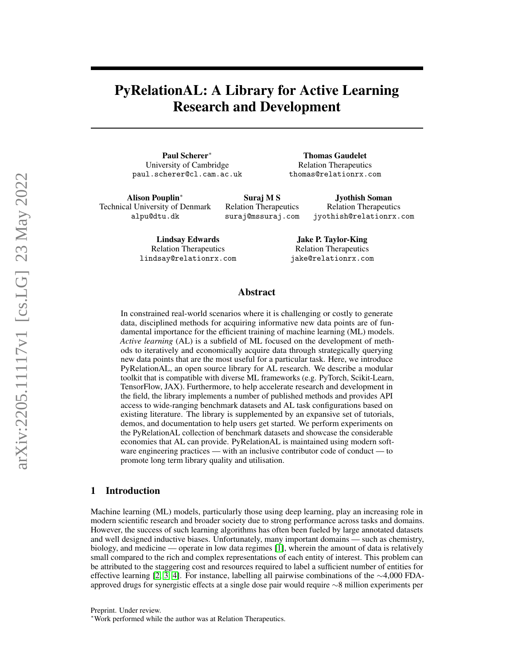# PyRelationAL: A Library for Active Learning Research and Development

Paul Scherer<sup>∗</sup> University of Cambridge paul.scherer@cl.cam.ac.uk

Thomas Gaudelet Relation Therapeutics thomas@relationrx.com

Alison Pouplin<sup>∗</sup> Technical University of Denmark alpu@dtu.dk

Suraj M S Relation Therapeutics suraj@mssuraj.com

Jyothish Soman Relation Therapeutics jyothish@relationrx.com

Lindsay Edwards Relation Therapeutics lindsay@relationrx.com

Jake P. Taylor-King Relation Therapeutics jake@relationrx.com

#### Abstract

In constrained real-world scenarios where it is challenging or costly to generate data, disciplined methods for acquiring informative new data points are of fundamental importance for the efficient training of machine learning (ML) models. *Active learning* (AL) is a subfield of ML focused on the development of methods to iteratively and economically acquire data through strategically querying new data points that are the most useful for a particular task. Here, we introduce PyRelationAL, an open source library for AL research. We describe a modular toolkit that is compatible with diverse ML frameworks (e.g. PyTorch, Scikit-Learn, TensorFlow, JAX). Furthermore, to help accelerate research and development in the field, the library implements a number of published methods and provides API access to wide-ranging benchmark datasets and AL task configurations based on existing literature. The library is supplemented by an expansive set of tutorials, demos, and documentation to help users get started. We perform experiments on the PyRelationAL collection of benchmark datasets and showcase the considerable economies that AL can provide. PyRelationAL is maintained using modern software engineering practices — with an inclusive contributor code of conduct — to promote long term library quality and utilisation.

## 1 Introduction

Machine learning (ML) models, particularly those using deep learning, play an increasing role in modern scientific research and broader society due to strong performance across tasks and domains. However, the success of such learning algorithms has often been fueled by large annotated datasets and well designed inductive biases. Unfortunately, many important domains — such as chemistry, biology, and medicine — operate in low data regimes [\[1\]](#page-8-0), wherein the amount of data is relatively small compared to the rich and complex representations of each entity of interest. This problem can be attributed to the staggering cost and resources required to label a sufficient number of entities for effective learning [\[2,](#page-8-1) [3,](#page-8-2) [4\]](#page-8-3). For instance, labelling all pairwise combinations of the ∼4,000 FDAapproved drugs for synergistic effects at a single dose pair would require ∼8 million experiments per

Preprint. Under review.

<sup>∗</sup>Work performed while the author was at Relation Therapeutics.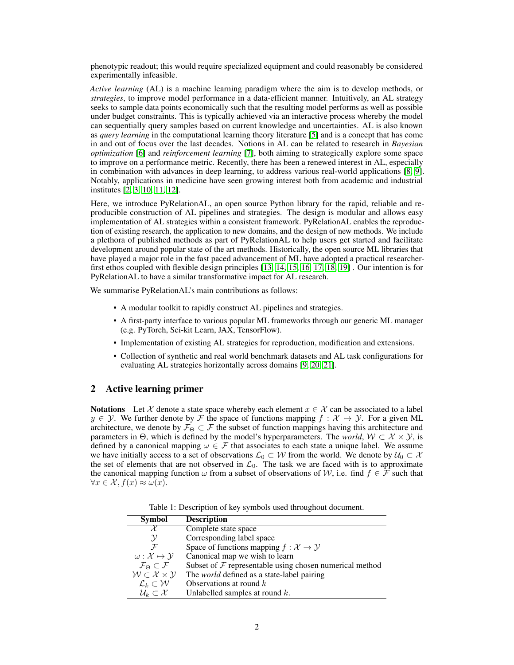phenotypic readout; this would require specialized equipment and could reasonably be considered experimentally infeasible.

*Active learning* (AL) is a machine learning paradigm where the aim is to develop methods, or *strategies*, to improve model performance in a data-efficient manner. Intuitively, an AL strategy seeks to sample data points economically such that the resulting model performs as well as possible under budget constraints. This is typically achieved via an interactive process whereby the model can sequentially query samples based on current knowledge and uncertainties. AL is also known as *query learning* in the computational learning theory literature [\[5\]](#page-8-4) and is a concept that has come in and out of focus over the last decades. Notions in AL can be related to research in *Bayesian optimization* [\[6\]](#page-8-5) and *reinforcement learning* [\[7\]](#page-8-6), both aiming to strategically explore some space to improve on a performance metric. Recently, there has been a renewed interest in AL, especially in combination with advances in deep learning, to address various real-world applications [\[8,](#page-8-7) [9\]](#page-8-8). Notably, applications in medicine have seen growing interest both from academic and industrial institutes [\[2,](#page-8-1) [3,](#page-8-2) [10,](#page-8-9) [11,](#page-8-10) [12\]](#page-8-11).

Here, we introduce PyRelationAL, an open source Python library for the rapid, reliable and reproducible construction of AL pipelines and strategies. The design is modular and allows easy implementation of AL strategies within a consistent framework. PyRelationAL enables the reproduction of existing research, the application to new domains, and the design of new methods. We include a plethora of published methods as part of PyRelationAL to help users get started and facilitate development around popular state of the art methods. Historically, the open source ML libraries that have played a major role in the fast paced advancement of ML have adopted a practical researcherfirst ethos coupled with flexible design principles [\[13,](#page-8-12) [14,](#page-8-13) [15,](#page-8-14) [16,](#page-8-15) [17,](#page-8-16) [18,](#page-8-17) [19\]](#page-9-0) . Our intention is for PyRelationAL to have a similar transformative impact for AL research.

We summarise PyRelationAL's main contributions as follows:

- A modular toolkit to rapidly construct AL pipelines and strategies.
- A first-party interface to various popular ML frameworks through our generic ML manager (e.g. PyTorch, Sci-kit Learn, JAX, TensorFlow).
- Implementation of existing AL strategies for reproduction, modification and extensions.
- Collection of synthetic and real world benchmark datasets and AL task configurations for evaluating AL strategies horizontally across domains [\[9,](#page-8-8) [20,](#page-9-1) [21\]](#page-9-2).

## <span id="page-1-0"></span>2 Active learning primer

**Notations** Let X denote a state space whereby each element  $x \in \mathcal{X}$  can be associated to a label  $y \in \mathcal{Y}$ . We further denote by F the space of functions mapping  $f : \mathcal{X} \mapsto \mathcal{Y}$ . For a given ML architecture, we denote by  $\mathcal{F}_{\Theta} \subset \mathcal{F}$  the subset of function mappings having this architecture and parameters in  $\Theta$ , which is defined by the model's hyperparameters. The *world*,  $W \subset \mathcal{X} \times \mathcal{Y}$ , is defined by a canonical mapping  $\omega \in \mathcal{F}$  that associates to each state a unique label. We assume we have initially access to a set of observations  $\mathcal{L}_0 \subset \mathcal{W}$  from the world. We denote by  $\mathcal{U}_0 \subset \mathcal{X}$ the set of elements that are not observed in  $\mathcal{L}_0$ . The task we are faced with is to approximate the canonical mapping function  $\omega$  from a subset of observations of W, i.e. find  $f \in \mathcal{F}$  such that  $\forall x \in \mathcal{X}, f(x) \approx \omega(x).$ 

Table 1: Description of key symbols used throughout document.

| <b>Symbol</b>                              | <b>Description</b>                                           |
|--------------------------------------------|--------------------------------------------------------------|
| X                                          | Complete state space                                         |
| $\mathcal{Y}$                              | Corresponding label space                                    |
| $\mathcal{F}$                              | Space of functions mapping $f : \mathcal{X} \to \mathcal{Y}$ |
| $\omega: \mathcal{X} \mapsto \mathcal{Y}$  | Canonical map we wish to learn                               |
| $\mathcal{F}_{\Theta} \subset \mathcal{F}$ | Subset of $F$ representable using chosen numerical method    |
| $W \subset \mathcal{X} \times \mathcal{Y}$ | The <i>world</i> defined as a state-label pairing            |
| $\mathcal{L}_k \subset \mathcal{W}$        | Observations at round $k$                                    |
| $\mathcal{U}_k \subset \mathcal{X}$        | Unlabelled samples at round $k$ .                            |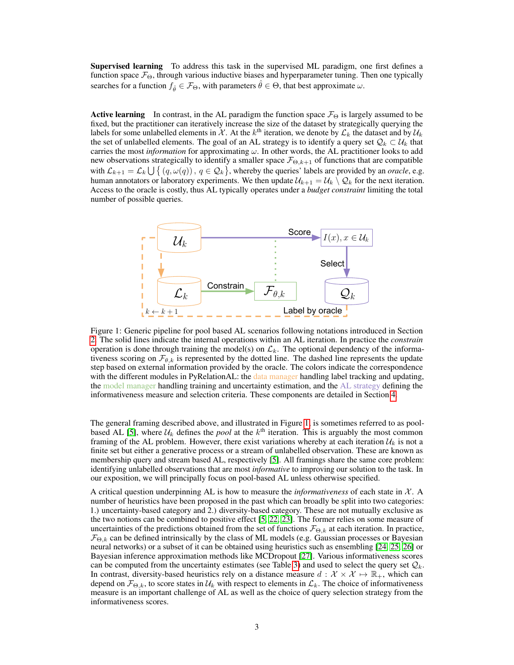Supervised learning To address this task in the supervised ML paradigm, one first defines a function space  $\mathcal{F}_{\Theta}$ , through various inductive biases and hyperparameter tuning. Then one typically searches for a function  $f_{\hat{\theta}} \in \mathcal{F}_{\Theta}$ , with parameters  $\hat{\theta} \in \Theta$ , that best approximate  $\omega$ .

**Active learning** In contrast, in the AL paradigm the function space  $\mathcal{F}_{\Theta}$  is largely assumed to be fixed, but the practitioner can iteratively increase the size of the dataset by strategically querying the labels for some unlabelled elements in X. At the  $k^{\text{th}}$  iteration, we denote by  $\mathcal{L}_k$  the dataset and by  $\mathcal{U}_k$ the set of unlabelled elements. The goal of an AL strategy is to identify a query set  $\mathcal{Q}_k \subset \mathcal{U}_k$  that carries the most *information* for approximating ω. In other words, the AL practitioner looks to add new observations strategically to identify a smaller space  $\mathcal{F}_{\Theta,k+1}$  of functions that are compatible with  $\mathcal{L}_{k+1} = \mathcal{L}_k \bigcup \{ (q, \omega(q)), q \in \mathcal{Q}_k \}$ , whereby the queries' labels are provided by an *oracle*, e.g. human annotators or laboratory experiments. We then update  $\mathcal{U}_{k+1} = \mathcal{U}_k \setminus \mathcal{Q}_k$  for the next iteration. Access to the oracle is costly, thus AL typically operates under a *budget constraint* limiting the total number of possible queries.

<span id="page-2-0"></span>

Figure 1: Generic pipeline for pool based AL scenarios following notations introduced in Section [2.](#page-1-0) The solid lines indicate the internal operations within an AL iteration. In practice the *constrain* operation is done through training the model(s) on  $\mathcal{L}_k$ . The optional dependency of the informativeness scoring on  $\mathcal{F}_{\theta,k}$  is represented by the dotted line. The dashed line represents the update step based on external information provided by the oracle. The colors indicate the correspondence with the different modules in PyRelationAL: the data manager handling label tracking and updating, the model manager handling training and uncertainty estimation, and the AL strategy defining the informativeness measure and selection criteria. These components are detailed in Section [4.](#page-4-0)

The general framing described above, and illustrated in Figure [1,](#page-2-0) is sometimes referred to as pool-based AL [\[5\]](#page-8-4), where  $U_k$  defines the *pool* at the  $k^{\text{th}}$  iteration. This is arguably the most common framing of the AL problem. However, there exist variations whereby at each iteration  $\mathcal{U}_k$  is not a finite set but either a generative process or a stream of unlabelled observation. These are known as membership query and stream based AL, respectively [\[5\]](#page-8-4). All framings share the same core problem: identifying unlabelled observations that are most *informative* to improving our solution to the task. In our exposition, we will principally focus on pool-based AL unless otherwise specified.

A critical question underpinning AL is how to measure the *informativeness* of each state in  $X$ . A number of heuristics have been proposed in the past which can broadly be split into two categories: 1.) uncertainty-based category and 2.) diversity-based category. These are not mutually exclusive as the two notions can be combined to positive effect [\[5,](#page-8-4) [22,](#page-9-3) [23\]](#page-9-4). The former relies on some measure of uncertainties of the predictions obtained from the set of functions  $\mathcal{F}_{\Theta,k}$  at each iteration. In practice,  $\mathcal{F}_{\Theta,k}$  can be defined intrinsically by the class of ML models (e.g. Gaussian processes or Bayesian neural networks) or a subset of it can be obtained using heuristics such as ensembling [\[24,](#page-9-5) [25,](#page-9-6) [26\]](#page-9-7) or Bayesian inference approximation methods like MCDropout [\[27\]](#page-9-8). Various informativeness scores can be computed from the uncertainty estimates (see Table [3\)](#page-5-0) and used to select the query set  $\mathcal{Q}_k$ . In contrast, diversity-based heuristics rely on a distance measure  $d: \mathcal{X} \times \mathcal{X} \mapsto \mathbb{R}_+$ , which can depend on  $\mathcal{F}_{\Theta,k}$ , to score states in  $\mathcal{U}_k$  with respect to elements in  $\mathcal{L}_k$ . The choice of informativeness measure is an important challenge of AL as well as the choice of query selection strategy from the informativeness scores.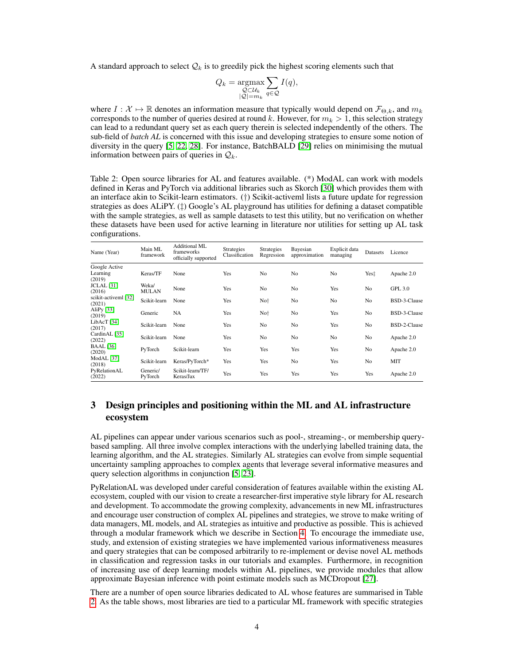A standard approach to select  $\mathcal{Q}_k$  is to greedily pick the highest scoring elements such that

$$
Q_k = \underset{\substack{Q \subset \mathcal{U}_k \\ |Q| = m_k}}{\operatorname{argmax}} \sum_{q \in \mathcal{Q}} I(q),
$$

where  $I : \mathcal{X} \mapsto \mathbb{R}$  denotes an information measure that typically would depend on  $\mathcal{F}_{\Theta,k}$ , and  $m_k$ corresponds to the number of queries desired at round k. However, for  $m_k > 1$ , this selection strategy can lead to a redundant query set as each query therein is selected independently of the others. The sub-field of *batch AL* is concerned with this issue and developing strategies to ensure some notion of diversity in the query [\[5,](#page-8-4) [22,](#page-9-3) [28\]](#page-9-9). For instance, BatchBALD [\[29\]](#page-9-10) relies on minimising the mutual information between pairs of queries in  $\mathcal{Q}_k$ .

<span id="page-3-0"></span>Table 2: Open source libraries for AL and features available. (\*) ModAL can work with models defined in Keras and PyTorch via additional libraries such as Skorch [\[30\]](#page-9-11) which provides them with an interface akin to Scikit-learn estimators. (†) Scikit-activeml lists a future update for regression strategies as does ALiPY. (‡) Google's AL playground has utilities for defining a dataset compatible with the sample strategies, as well as sample datasets to test this utility, but no verification on whether these datasets have been used for active learning in literature nor utilities for setting up AL task configurations.

| Name (Year)                         | Main ML<br>framework  | Additional ML<br>frameworks<br>officially supported | Strategies<br>Classification | Strategies<br>Regression | Bayesian<br>approximation | Explicit data<br>managing | Datasets       | Licence        |
|-------------------------------------|-----------------------|-----------------------------------------------------|------------------------------|--------------------------|---------------------------|---------------------------|----------------|----------------|
| Google Active<br>Learning<br>(2019) | Keras/TF              | None                                                | Yes                          | No                       | N <sub>0</sub>            | No.                       | Yest           | Apache 2.0     |
| <b>JCLAL</b> [31]<br>(2016)         | Weka/<br><b>MULAN</b> | None                                                | Yes                          | No                       | N <sub>o</sub>            | Yes                       | No             | <b>GPL 3.0</b> |
| scikit-activeml [32]<br>(2021)      | Scikit-learn          | None                                                | Yes                          | No <sup>+</sup>          | N <sub>o</sub>            | N <sub>o</sub>            | N <sub>0</sub> | BSD-3-Clause   |
| AliPy $[33]$<br>(2019)              | Generic               | <b>NA</b>                                           | Yes                          | No <sup>+</sup>          | N <sub>o</sub>            | Yes                       | N <sub>0</sub> | BSD-3-Clause   |
| Lib $AcT$ [34]<br>(2017)            | Scikit-learn          | None                                                | Yes                          | No                       | N <sub>o</sub>            | Yes                       | N <sub>0</sub> | BSD-2-Clause   |
| CardinAL [35]<br>(2022)             | Scikit-learn          | None                                                | Yes                          | No                       | N <sub>o</sub>            | N <sub>o</sub>            | N <sub>0</sub> | Apache 2.0     |
| <b>BAAL</b> [36]<br>(2020)          | PvTorch               | Scikit-learn                                        | Yes                          | Yes                      | Yes                       | Yes                       | N <sub>0</sub> | Apache 2.0     |
| ModAL [37]<br>(2018)                | Scikit-learn          | Keras/PyTorch*                                      | Yes                          | Yes                      | N <sub>0</sub>            | Yes                       | No             | MIT            |
| PyRelationAL<br>(2022)              | Generic/<br>PyTorch   | Scikit-learn/TF/<br>Keras/Jax                       | Yes                          | Yes                      | Yes                       | Yes                       | Yes            | Apache 2.0     |

# 3 Design principles and positioning within the ML and AL infrastructure ecosystem

AL pipelines can appear under various scenarios such as pool-, streaming-, or membership querybased sampling. All three involve complex interactions with the underlying labelled training data, the learning algorithm, and the AL strategies. Similarly AL strategies can evolve from simple sequential uncertainty sampling approaches to complex agents that leverage several informative measures and query selection algorithms in conjunction [\[5,](#page-8-4) [23\]](#page-9-4).

PyRelationAL was developed under careful consideration of features available within the existing AL ecosystem, coupled with our vision to create a researcher-first imperative style library for AL research and development. To accommodate the growing complexity, advancements in new ML infrastructures and encourage user construction of complex AL pipelines and strategies, we strove to make writing of data managers, ML models, and AL strategies as intuitive and productive as possible. This is achieved through a modular framework which we describe in Section [4.](#page-4-0) To encourage the immediate use, study, and extension of existing strategies we have implemented various informativeness measures and query strategies that can be composed arbitrarily to re-implement or devise novel AL methods in classification and regression tasks in our tutorials and examples. Furthermore, in recognition of increasing use of deep learning models within AL pipelines, we provide modules that allow approximate Bayesian inference with point estimate models such as MCDropout [\[27\]](#page-9-8).

There are a number of open source libraries dedicated to AL whose features are summarised in Table [2.](#page-3-0) As the table shows, most libraries are tied to a particular ML framework with specific strategies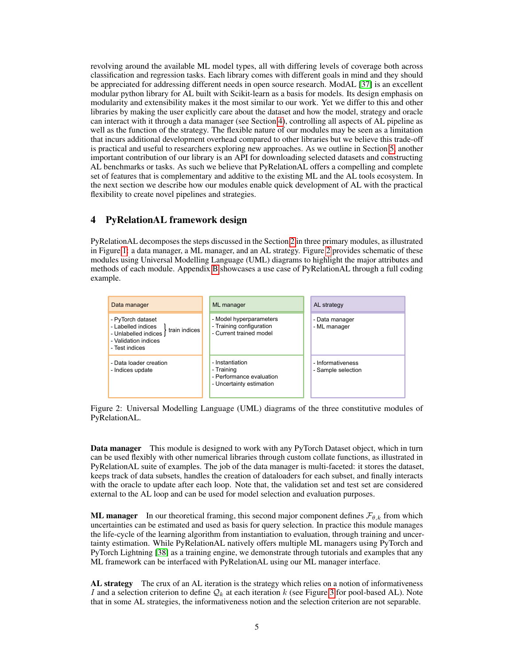revolving around the available ML model types, all with differing levels of coverage both across classification and regression tasks. Each library comes with different goals in mind and they should be appreciated for addressing different needs in open source research. ModAL [\[37\]](#page-9-18) is an excellent modular python library for AL built with Scikit-learn as a basis for models. Its design emphasis on modularity and extensibility makes it the most similar to our work. Yet we differ to this and other libraries by making the user explicitly care about the dataset and how the model, strategy and oracle can interact with it through a data manager (see Section [4\)](#page-4-0), controlling all aspects of AL pipeline as well as the function of the strategy. The flexible nature of our modules may be seen as a limitation that incurs additional development overhead compared to other libraries but we believe this trade-off is practical and useful to researchers exploring new approaches. As we outline in Section [5,](#page-5-1) another important contribution of our library is an API for downloading selected datasets and constructing AL benchmarks or tasks. As such we believe that PyRelationAL offers a compelling and complete set of features that is complementary and additive to the existing ML and the AL tools ecosystem. In the next section we describe how our modules enable quick development of AL with the practical flexibility to create novel pipelines and strategies.

# <span id="page-4-0"></span>4 PyRelationAL framework design

PyRelationAL decomposes the steps discussed in the Section [2](#page-1-0) in three primary modules, as illustrated in Figure [1:](#page-2-0) a data manager, a ML manager, and an AL strategy. Figure [2](#page-4-1) provides schematic of these modules using Universal Modelling Language (UML) diagrams to highlight the major attributes and methods of each module. Appendix [B](#page-13-0) showcases a use case of PyRelationAL through a full coding example.

<span id="page-4-1"></span>

Figure 2: Universal Modelling Language (UML) diagrams of the three constitutive modules of PyRelationAL.

Data manager This module is designed to work with any PyTorch Dataset object, which in turn can be used flexibly with other numerical libraries through custom collate functions, as illustrated in PyRelationAL suite of examples. The job of the data manager is multi-faceted: it stores the dataset, keeps track of data subsets, handles the creation of dataloaders for each subset, and finally interacts with the oracle to update after each loop. Note that, the validation set and test set are considered external to the AL loop and can be used for model selection and evaluation purposes.

**ML manager** In our theoretical framing, this second major component defines  $\mathcal{F}_{\theta,k}$  from which uncertainties can be estimated and used as basis for query selection. In practice this module manages the life-cycle of the learning algorithm from instantiation to evaluation, through training and uncertainty estimation. While PyRelationAL natively offers multiple ML managers using PyTorch and PyTorch Lightning [\[38\]](#page-9-19) as a training engine, we demonstrate through tutorials and examples that any ML framework can be interfaced with PyRelationAL using our ML manager interface.

AL strategy The crux of an AL iteration is the strategy which relies on a notion of informativeness I and a selection criterion to define  $\mathcal{Q}_k$  at each iteration k (see Figure [3](#page-5-2) for pool-based AL). Note that in some AL strategies, the informativeness notion and the selection criterion are not separable.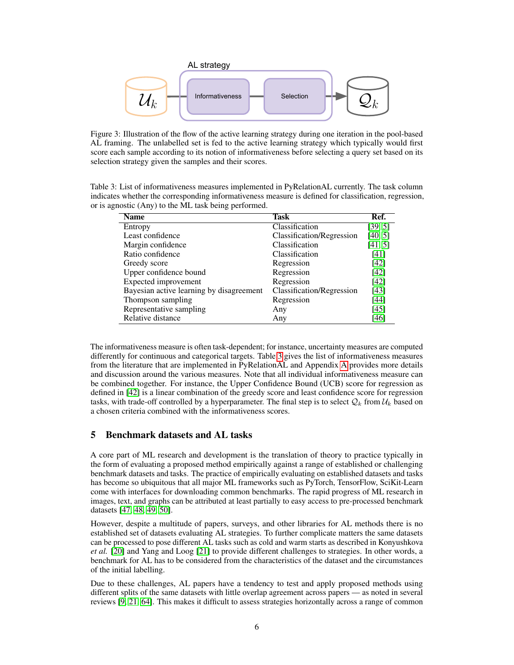<span id="page-5-2"></span>

Figure 3: Illustration of the flow of the active learning strategy during one iteration in the pool-based AL framing. The unlabelled set is fed to the active learning strategy which typically would first score each sample according to its notion of informativeness before selecting a query set based on its selection strategy given the samples and their scores.

<span id="page-5-0"></span>Table 3: List of informativeness measures implemented in PyRelationAL currently. The task column indicates whether the corresponding informativeness measure is defined for classification, regression, or is agnostic (Any) to the ML task being performed.

| <b>Name</b>                              | Task                      | Ref.    |
|------------------------------------------|---------------------------|---------|
| Entropy                                  | Classification            | [39, 5] |
| Least confidence                         | Classification/Regression | [40, 5] |
| Margin confidence                        | Classification            | [41, 5] |
| Ratio confidence                         | Classification            | [41]    |
| Greedy score                             | Regression                | $[42]$  |
| Upper confidence bound                   | Regression                | [42]    |
| Expected improvement                     | Regression                | [42]    |
| Bayesian active learning by disagreement | Classification/Regression | $[43]$  |
| Thompson sampling                        | Regression                | [44]    |
| Representative sampling                  | Any                       | [45]    |
| Relative distance                        | Any                       | [46]    |

The informativeness measure is often task-dependent; for instance, uncertainty measures are computed differently for continuous and categorical targets. Table [3](#page-5-0) gives the list of informativeness measures from the literature that are implemented in PyRelationAL and Appendix [A](#page-12-0) provides more details and discussion around the various measures. Note that all individual informativeness measure can be combined together. For instance, the Upper Confidence Bound (UCB) score for regression as defined in [\[42\]](#page-10-3) is a linear combination of the greedy score and least confidence score for regression tasks, with trade-off controlled by a hyperparameter. The final step is to select  $Q_k$  from  $\mathcal{U}_k$  based on a chosen criteria combined with the informativeness scores.

# <span id="page-5-1"></span>5 Benchmark datasets and AL tasks

A core part of ML research and development is the translation of theory to practice typically in the form of evaluating a proposed method empirically against a range of established or challenging benchmark datasets and tasks. The practice of empirically evaluating on established datasets and tasks has become so ubiquitous that all major ML frameworks such as PyTorch, TensorFlow, SciKit-Learn come with interfaces for downloading common benchmarks. The rapid progress of ML research in images, text, and graphs can be attributed at least partially to easy access to pre-processed benchmark datasets [\[47,](#page-10-8) [48,](#page-10-9) [49,](#page-10-10) [50\]](#page-10-11).

However, despite a multitude of papers, surveys, and other libraries for AL methods there is no established set of datasets evaluating AL strategies. To further complicate matters the same datasets can be processed to pose different AL tasks such as cold and warm starts as described in Konyushkova *et al.* [\[20\]](#page-9-1) and Yang and Loog [\[21\]](#page-9-2) to provide different challenges to strategies. In other words, a benchmark for AL has to be considered from the characteristics of the dataset and the circumstances of the initial labelling.

Due to these challenges, AL papers have a tendency to test and apply proposed methods using different splits of the same datasets with little overlap agreement across papers — as noted in several reviews [\[9,](#page-8-8) [21,](#page-9-2) [64\]](#page-11-0). This makes it difficult to assess strategies horizontally across a range of common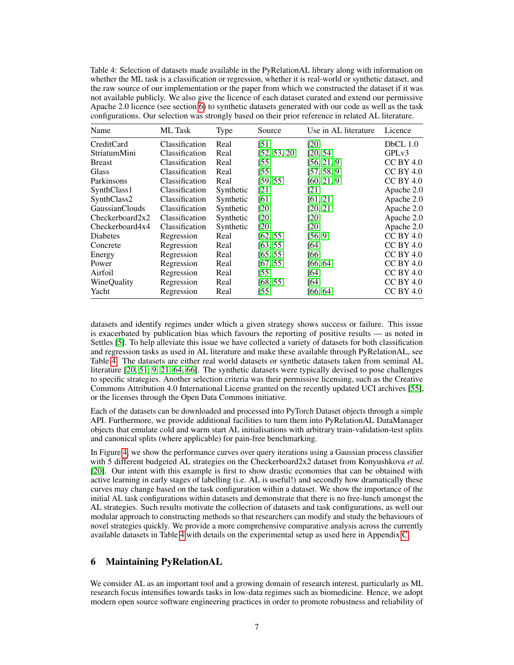<span id="page-6-1"></span>Table 4: Selection of datasets made available in the PyRelationAL library along with information on whether the ML task is a classification or regression, whether it is real-world or synthetic dataset, and the raw source of our implementation or the paper from which we constructed the dataset if it was not available publicly. We also give the licence of each dataset curated and extend our permissive Apache 2.0 licence (see section [6\)](#page-6-0) to synthetic datasets generated with our code as well as the task configurations. Our selection was strongly based on their prior reference in related AL literature.

| Name            | <b>ML</b> Task | Type      | Source       | Use in AL literature | Licence            |
|-----------------|----------------|-----------|--------------|----------------------|--------------------|
| CreditCard      | Classification | Real      | [51]         | [20]                 | $DbCL$ 1.0         |
| StriatumMini    | Classification | Real      | [52, 53, 20] | [20, 54]             | GPL <sub>v</sub> 3 |
| <b>Breast</b>   | Classification | Real      | $[55]$       | [56, 21, 9]          | $CC$ BY 4.0        |
| <b>Glass</b>    | Classification | Real      | $[55]$       | [57, 58, 9]          | $CC$ BY 4.0        |
| Parkinsons      | Classification | Real      | [59, 55]     | [60, 21, 9]          | $CC$ BY 4.0        |
| SynthClass1     | Classification | Synthetic | [21]         | [21]                 | Apache 2.0         |
| SynthClass2     | Classification | Synthetic | [61]         | [61, 21]             | Apache 2.0         |
| GaussianClouds  | Classification | Synthetic | [20]         | [20, 21]             | Apache 2.0         |
| Checkerboard2x2 | Classification | Synthetic | [20]         | [20]                 | Apache 2.0         |
| Checkerboard4x4 | Classification | Synthetic | [20]         | [20]                 | Apache 2.0         |
| Diabetes        | Regression     | Real      | [62, 55]     | [56, 9]              | <b>CC BY 4.0</b>   |
| Concrete        | Regression     | Real      | [63, 55]     | [64]                 | $CC$ BY 4.0        |
| Energy          | Regression     | Real      | [65, 55]     | [66]                 | $CC$ BY 4.0        |
| Power           | Regression     | Real      | [67, 55]     | [66, 64]             | <b>CC BY 4.0</b>   |
| Airfoil         | Regression     | Real      | $[55]$       | [64]                 | $CC$ BY 4.0        |
| WineQuality     | Regression     | Real      | [68, 55]     | [64]                 | $CC$ BY 4.0        |
| Yacht           | Regression     | Real      | $[55]$       | [66, 64]             | <b>CC BY 4.0</b>   |

datasets and identify regimes under which a given strategy shows success or failure. This issue is exacerbated by publication bias which favours the reporting of positive results — as noted in Settles [\[5\]](#page-8-4). To help alleviate this issue we have collected a variety of datasets for both classification and regression tasks as used in AL literature and make these available through PyRelationAL, see Table [4.](#page-6-1) The datasets are either real world datasets or synthetic datasets taken from seminal AL literature [\[20,](#page-9-1) [51,](#page-10-12) [9,](#page-8-8) [21,](#page-9-2) [64,](#page-11-0) [66\]](#page-11-8). The synthetic datasets were typically devised to pose challenges to specific strategies. Another selection criteria was their permissive licensing, such as the Creative Commons Attribution 4.0 International License granted on the recently updated UCI archives [\[55\]](#page-10-16), or the licenses through the Open Data Commons initiative.

Each of the datasets can be downloaded and processed into PyTorch Dataset objects through a simple API. Furthermore, we provide additional facilities to turn them into PyRelationAL DataManager objects that emulate cold and warm start AL initialisations with arbitrary train-validation-test splits and canonical splits (where applicable) for pain-free benchmarking.

In Figure [4,](#page-7-0) we show the performance curves over query iterations using a Gaussian process classifier with 5 different budgeted AL strategies on the Checkerboard2x2 dataset from Konyushkova *et al.* [\[20\]](#page-9-1). Our intent with this example is first to show drastic economies that can be obtained with active learning in early stages of labelling (i.e. AL is useful!) and secondly how dramatically these curves may change based on the task configuration within a dataset. We show the importance of the initial AL task configurations within datasets and demonstrate that there is no free-lunch amongst the AL strategies. Such results motivate the collection of datasets and task configurations, as well our modular approach to constructing methods so that researchers can modify and study the behaviours of novel strategies quickly. We provide a more comprehensive comparative analysis across the currently available datasets in Table [4](#page-6-1) with details on the experimental setup as used here in Appendix [C.](#page-17-0)

# <span id="page-6-0"></span>6 Maintaining PyRelationAL

We consider AL as an important tool and a growing domain of research interest, particularly as ML research focus intensifies towards tasks in low-data regimes such as biomedicine. Hence, we adopt modern open source software engineering practices in order to promote robustness and reliability of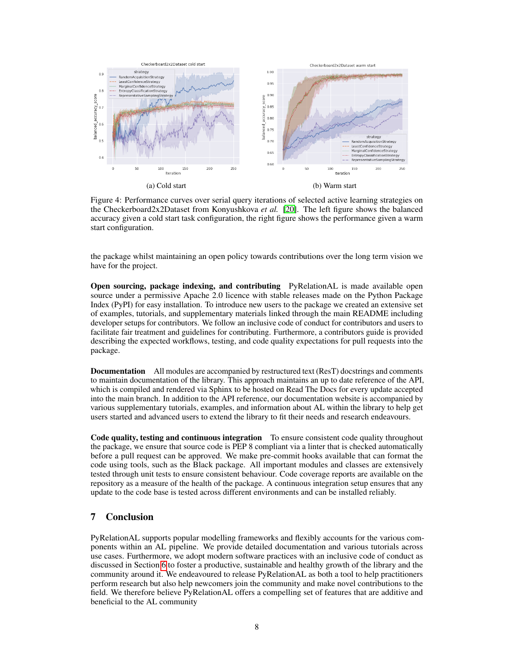<span id="page-7-0"></span>

Figure 4: Performance curves over serial query iterations of selected active learning strategies on the Checkerboard2x2Dataset from Konyushkova *et al.* [\[20\]](#page-9-1). The left figure shows the balanced accuracy given a cold start task configuration, the right figure shows the performance given a warm start configuration.

the package whilst maintaining an open policy towards contributions over the long term vision we have for the project.

Open sourcing, package indexing, and contributing PyRelationAL is made available open source under a permissive Apache 2.0 licence with stable releases made on the Python Package Index (PyPI) for easy installation. To introduce new users to the package we created an extensive set of examples, tutorials, and supplementary materials linked through the main README including developer setups for contributors. We follow an inclusive code of conduct for contributors and users to facilitate fair treatment and guidelines for contributing. Furthermore, a contributors guide is provided describing the expected workflows, testing, and code quality expectations for pull requests into the package.

**Documentation** All modules are accompanied by restructured text (ResT) docstrings and comments to maintain documentation of the library. This approach maintains an up to date reference of the API, which is compiled and rendered via Sphinx to be hosted on Read The Docs for every update accepted into the main branch. In addition to the API reference, our documentation website is accompanied by various supplementary tutorials, examples, and information about AL within the library to help get users started and advanced users to extend the library to fit their needs and research endeavours.

Code quality, testing and continuous integration To ensure consistent code quality throughout the package, we ensure that source code is PEP 8 compliant via a linter that is checked automatically before a pull request can be approved. We make pre-commit hooks available that can format the code using tools, such as the Black package. All important modules and classes are extensively tested through unit tests to ensure consistent behaviour. Code coverage reports are available on the repository as a measure of the health of the package. A continuous integration setup ensures that any update to the code base is tested across different environments and can be installed reliably.

# 7 Conclusion

PyRelationAL supports popular modelling frameworks and flexibly accounts for the various components within an AL pipeline. We provide detailed documentation and various tutorials across use cases. Furthermore, we adopt modern software practices with an inclusive code of conduct as discussed in Section [6](#page-6-0) to foster a productive, sustainable and healthy growth of the library and the community around it. We endeavoured to release PyRelationAL as both a tool to help practitioners perform research but also help newcomers join the community and make novel contributions to the field. We therefore believe PyRelationAL offers a compelling set of features that are additive and beneficial to the AL community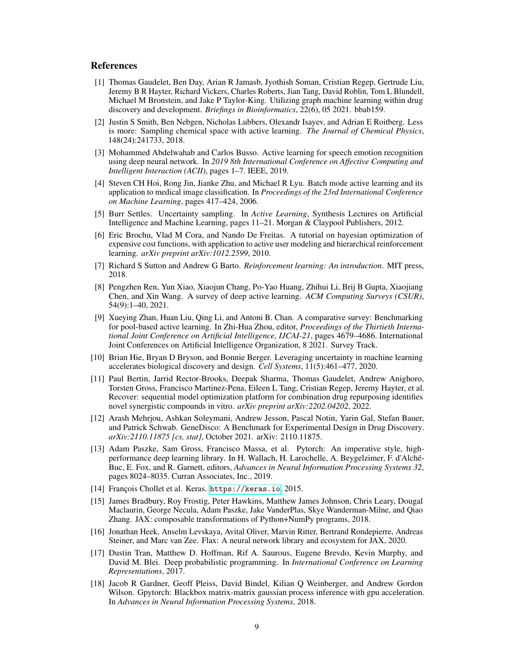#### References

- <span id="page-8-0"></span>[1] Thomas Gaudelet, Ben Day, Arian R Jamasb, Jyothish Soman, Cristian Regep, Gertrude Liu, Jeremy B R Hayter, Richard Vickers, Charles Roberts, Jian Tang, David Roblin, Tom L Blundell, Michael M Bronstein, and Jake P Taylor-King. Utilizing graph machine learning within drug discovery and development. *Briefings in Bioinformatics*, 22(6), 05 2021. bbab159.
- <span id="page-8-1"></span>[2] Justin S Smith, Ben Nebgen, Nicholas Lubbers, Olexandr Isayev, and Adrian E Roitberg. Less is more: Sampling chemical space with active learning. *The Journal of Chemical Physics*, 148(24):241733, 2018.
- <span id="page-8-2"></span>[3] Mohammed Abdelwahab and Carlos Busso. Active learning for speech emotion recognition using deep neural network. In *2019 8th International Conference on Affective Computing and Intelligent Interaction (ACII)*, pages 1–7. IEEE, 2019.
- <span id="page-8-3"></span>[4] Steven CH Hoi, Rong Jin, Jianke Zhu, and Michael R Lyu. Batch mode active learning and its application to medical image classification. In *Proceedings of the 23rd International Conference on Machine Learning*, pages 417–424, 2006.
- <span id="page-8-4"></span>[5] Burr Settles. Uncertainty sampling. In *Active Learning*, Synthesis Lectures on Artificial Intelligence and Machine Learning, pages 11–21. Morgan & Claypool Publishers, 2012.
- <span id="page-8-5"></span>[6] Eric Brochu, Vlad M Cora, and Nando De Freitas. A tutorial on bayesian optimization of expensive cost functions, with application to active user modeling and hierarchical reinforcement learning. *arXiv preprint arXiv:1012.2599*, 2010.
- <span id="page-8-6"></span>[7] Richard S Sutton and Andrew G Barto. *Reinforcement learning: An introduction*. MIT press, 2018.
- <span id="page-8-7"></span>[8] Pengzhen Ren, Yun Xiao, Xiaojun Chang, Po-Yao Huang, Zhihui Li, Brij B Gupta, Xiaojiang Chen, and Xin Wang. A survey of deep active learning. *ACM Computing Surveys (CSUR)*, 54(9):1–40, 2021.
- <span id="page-8-8"></span>[9] Xueying Zhan, Huan Liu, Qing Li, and Antoni B. Chan. A comparative survey: Benchmarking for pool-based active learning. In Zhi-Hua Zhou, editor, *Proceedings of the Thirtieth International Joint Conference on Artificial Intelligence, IJCAI-21*, pages 4679–4686. International Joint Conferences on Artificial Intelligence Organization, 8 2021. Survey Track.
- <span id="page-8-9"></span>[10] Brian Hie, Bryan D Bryson, and Bonnie Berger. Leveraging uncertainty in machine learning accelerates biological discovery and design. *Cell Systems*, 11(5):461–477, 2020.
- <span id="page-8-10"></span>[11] Paul Bertin, Jarrid Rector-Brooks, Deepak Sharma, Thomas Gaudelet, Andrew Anighoro, Torsten Gross, Francisco Martinez-Pena, Eileen L Tang, Cristian Regep, Jeremy Hayter, et al. Recover: sequential model optimization platform for combination drug repurposing identifies novel synergistic compounds in vitro. *arXiv preprint arXiv:2202.04202*, 2022.
- <span id="page-8-11"></span>[12] Arash Mehrjou, Ashkan Soleymani, Andrew Jesson, Pascal Notin, Yarin Gal, Stefan Bauer, and Patrick Schwab. GeneDisco: A Benchmark for Experimental Design in Drug Discovery. *arXiv:2110.11875 [cs, stat]*, October 2021. arXiv: 2110.11875.
- <span id="page-8-12"></span>[13] Adam Paszke, Sam Gross, Francisco Massa, et al. Pytorch: An imperative style, highperformance deep learning library. In H. Wallach, H. Larochelle, A. Beygelzimer, F. d'Alché-Buc, E. Fox, and R. Garnett, editors, *Advances in Neural Information Processing Systems 32*, pages 8024–8035. Curran Associates, Inc., 2019.
- <span id="page-8-13"></span>[14] François Chollet et al. Keras. <https://keras.io>, 2015.
- <span id="page-8-14"></span>[15] James Bradbury, Roy Frostig, Peter Hawkins, Matthew James Johnson, Chris Leary, Dougal Maclaurin, George Necula, Adam Paszke, Jake VanderPlas, Skye Wanderman-Milne, and Qiao Zhang. JAX: composable transformations of Python+NumPy programs, 2018.
- <span id="page-8-15"></span>[16] Jonathan Heek, Anselm Levskaya, Avital Oliver, Marvin Ritter, Bertrand Rondepierre, Andreas Steiner, and Marc van Zee. Flax: A neural network library and ecosystem for JAX, 2020.
- <span id="page-8-16"></span>[17] Dustin Tran, Matthew D. Hoffman, Rif A. Saurous, Eugene Brevdo, Kevin Murphy, and David M. Blei. Deep probabilistic programming. In *International Conference on Learning Representations*, 2017.
- <span id="page-8-17"></span>[18] Jacob R Gardner, Geoff Pleiss, David Bindel, Kilian Q Weinberger, and Andrew Gordon Wilson. Gpytorch: Blackbox matrix-matrix gaussian process inference with gpu acceleration. In *Advances in Neural Information Processing Systems*, 2018.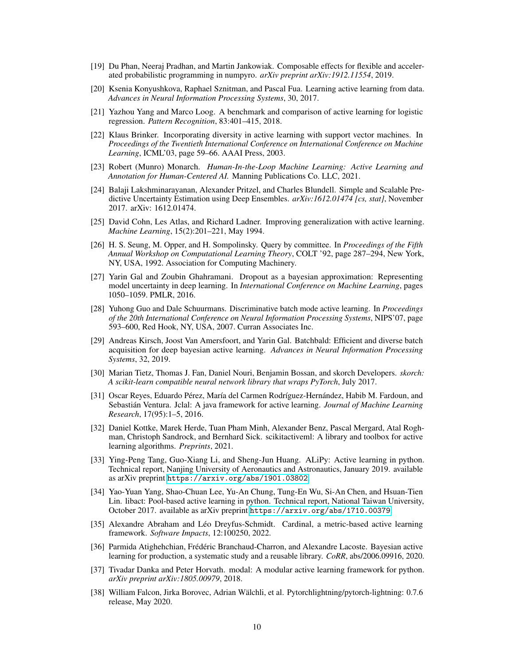- <span id="page-9-0"></span>[19] Du Phan, Neeraj Pradhan, and Martin Jankowiak. Composable effects for flexible and accelerated probabilistic programming in numpyro. *arXiv preprint arXiv:1912.11554*, 2019.
- <span id="page-9-1"></span>[20] Ksenia Konyushkova, Raphael Sznitman, and Pascal Fua. Learning active learning from data. *Advances in Neural Information Processing Systems*, 30, 2017.
- <span id="page-9-2"></span>[21] Yazhou Yang and Marco Loog. A benchmark and comparison of active learning for logistic regression. *Pattern Recognition*, 83:401–415, 2018.
- <span id="page-9-3"></span>[22] Klaus Brinker. Incorporating diversity in active learning with support vector machines. In *Proceedings of the Twentieth International Conference on International Conference on Machine Learning*, ICML'03, page 59–66. AAAI Press, 2003.
- <span id="page-9-4"></span>[23] Robert (Munro) Monarch. *Human-In-the-Loop Machine Learning: Active Learning and Annotation for Human-Centered AI.* Manning Publications Co. LLC, 2021.
- <span id="page-9-5"></span>[24] Balaji Lakshminarayanan, Alexander Pritzel, and Charles Blundell. Simple and Scalable Predictive Uncertainty Estimation using Deep Ensembles. *arXiv:1612.01474 [cs, stat]*, November 2017. arXiv: 1612.01474.
- <span id="page-9-6"></span>[25] David Cohn, Les Atlas, and Richard Ladner. Improving generalization with active learning. *Machine Learning*, 15(2):201–221, May 1994.
- <span id="page-9-7"></span>[26] H. S. Seung, M. Opper, and H. Sompolinsky. Query by committee. In *Proceedings of the Fifth Annual Workshop on Computational Learning Theory*, COLT '92, page 287–294, New York, NY, USA, 1992. Association for Computing Machinery.
- <span id="page-9-8"></span>[27] Yarin Gal and Zoubin Ghahramani. Dropout as a bayesian approximation: Representing model uncertainty in deep learning. In *International Conference on Machine Learning*, pages 1050–1059. PMLR, 2016.
- <span id="page-9-9"></span>[28] Yuhong Guo and Dale Schuurmans. Discriminative batch mode active learning. In *Proceedings of the 20th International Conference on Neural Information Processing Systems*, NIPS'07, page 593–600, Red Hook, NY, USA, 2007. Curran Associates Inc.
- <span id="page-9-10"></span>[29] Andreas Kirsch, Joost Van Amersfoort, and Yarin Gal. Batchbald: Efficient and diverse batch acquisition for deep bayesian active learning. *Advances in Neural Information Processing Systems*, 32, 2019.
- <span id="page-9-11"></span>[30] Marian Tietz, Thomas J. Fan, Daniel Nouri, Benjamin Bossan, and skorch Developers. *skorch: A scikit-learn compatible neural network library that wraps PyTorch*, July 2017.
- <span id="page-9-12"></span>[31] Oscar Reyes, Eduardo Pérez, María del Carmen Rodríguez-Hernández, Habib M. Fardoun, and Sebastián Ventura. Jclal: A java framework for active learning. *Journal of Machine Learning Research*, 17(95):1–5, 2016.
- <span id="page-9-13"></span>[32] Daniel Kottke, Marek Herde, Tuan Pham Minh, Alexander Benz, Pascal Mergard, Atal Roghman, Christoph Sandrock, and Bernhard Sick. scikitactiveml: A library and toolbox for active learning algorithms. *Preprints*, 2021.
- <span id="page-9-14"></span>[33] Ying-Peng Tang, Guo-Xiang Li, and Sheng-Jun Huang. ALiPy: Active learning in python. Technical report, Nanjing University of Aeronautics and Astronautics, January 2019. available as arXiv preprint <https://arxiv.org/abs/1901.03802>.
- <span id="page-9-15"></span>[34] Yao-Yuan Yang, Shao-Chuan Lee, Yu-An Chung, Tung-En Wu, Si-An Chen, and Hsuan-Tien Lin. libact: Pool-based active learning in python. Technical report, National Taiwan University, October 2017. available as arXiv preprint <https://arxiv.org/abs/1710.00379>.
- <span id="page-9-16"></span>[35] Alexandre Abraham and Léo Dreyfus-Schmidt. Cardinal, a metric-based active learning framework. *Software Impacts*, 12:100250, 2022.
- <span id="page-9-17"></span>[36] Parmida Atighehchian, Frédéric Branchaud-Charron, and Alexandre Lacoste. Bayesian active learning for production, a systematic study and a reusable library. *CoRR*, abs/2006.09916, 2020.
- <span id="page-9-18"></span>[37] Tivadar Danka and Peter Horvath. modal: A modular active learning framework for python. *arXiv preprint arXiv:1805.00979*, 2018.
- <span id="page-9-19"></span>[38] William Falcon, Jirka Borovec, Adrian Wälchli, et al. Pytorchlightning/pytorch-lightning: 0.7.6 release, May 2020.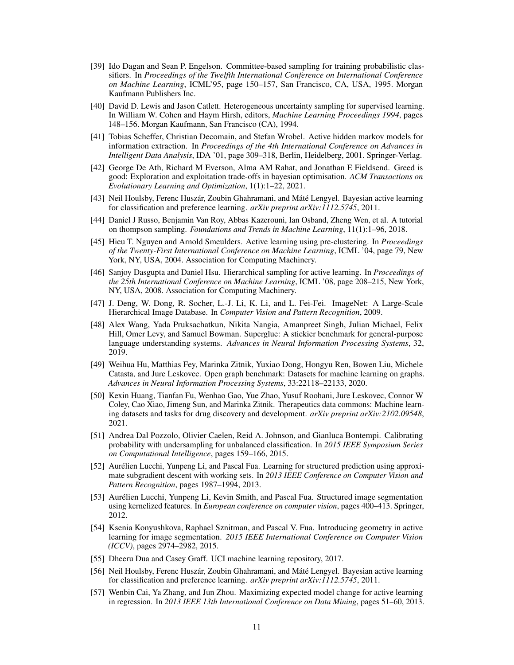- <span id="page-10-0"></span>[39] Ido Dagan and Sean P. Engelson. Committee-based sampling for training probabilistic classifiers. In *Proceedings of the Twelfth International Conference on International Conference on Machine Learning*, ICML'95, page 150–157, San Francisco, CA, USA, 1995. Morgan Kaufmann Publishers Inc.
- <span id="page-10-1"></span>[40] David D. Lewis and Jason Catlett. Heterogeneous uncertainty sampling for supervised learning. In William W. Cohen and Haym Hirsh, editors, *Machine Learning Proceedings 1994*, pages 148–156. Morgan Kaufmann, San Francisco (CA), 1994.
- <span id="page-10-2"></span>[41] Tobias Scheffer, Christian Decomain, and Stefan Wrobel. Active hidden markov models for information extraction. In *Proceedings of the 4th International Conference on Advances in Intelligent Data Analysis*, IDA '01, page 309–318, Berlin, Heidelberg, 2001. Springer-Verlag.
- <span id="page-10-3"></span>[42] George De Ath, Richard M Everson, Alma AM Rahat, and Jonathan E Fieldsend. Greed is good: Exploration and exploitation trade-offs in bayesian optimisation. *ACM Transactions on Evolutionary Learning and Optimization*, 1(1):1–22, 2021.
- <span id="page-10-4"></span>[43] Neil Houlsby, Ferenc Huszár, Zoubin Ghahramani, and Máté Lengyel. Bayesian active learning for classification and preference learning. *arXiv preprint arXiv:1112.5745*, 2011.
- <span id="page-10-5"></span>[44] Daniel J Russo, Benjamin Van Roy, Abbas Kazerouni, Ian Osband, Zheng Wen, et al. A tutorial on thompson sampling. *Foundations and Trends in Machine Learning*, 11(1):1–96, 2018.
- <span id="page-10-6"></span>[45] Hieu T. Nguyen and Arnold Smeulders. Active learning using pre-clustering. In *Proceedings of the Twenty-First International Conference on Machine Learning*, ICML '04, page 79, New York, NY, USA, 2004. Association for Computing Machinery.
- <span id="page-10-7"></span>[46] Sanjoy Dasgupta and Daniel Hsu. Hierarchical sampling for active learning. In *Proceedings of the 25th International Conference on Machine Learning*, ICML '08, page 208–215, New York, NY, USA, 2008. Association for Computing Machinery.
- <span id="page-10-8"></span>[47] J. Deng, W. Dong, R. Socher, L.-J. Li, K. Li, and L. Fei-Fei. ImageNet: A Large-Scale Hierarchical Image Database. In *Computer Vision and Pattern Recognition*, 2009.
- <span id="page-10-9"></span>[48] Alex Wang, Yada Pruksachatkun, Nikita Nangia, Amanpreet Singh, Julian Michael, Felix Hill, Omer Levy, and Samuel Bowman. Superglue: A stickier benchmark for general-purpose language understanding systems. *Advances in Neural Information Processing Systems*, 32, 2019.
- <span id="page-10-10"></span>[49] Weihua Hu, Matthias Fey, Marinka Zitnik, Yuxiao Dong, Hongyu Ren, Bowen Liu, Michele Catasta, and Jure Leskovec. Open graph benchmark: Datasets for machine learning on graphs. *Advances in Neural Information Processing Systems*, 33:22118–22133, 2020.
- <span id="page-10-11"></span>[50] Kexin Huang, Tianfan Fu, Wenhao Gao, Yue Zhao, Yusuf Roohani, Jure Leskovec, Connor W Coley, Cao Xiao, Jimeng Sun, and Marinka Zitnik. Therapeutics data commons: Machine learning datasets and tasks for drug discovery and development. *arXiv preprint arXiv:2102.09548*, 2021.
- <span id="page-10-12"></span>[51] Andrea Dal Pozzolo, Olivier Caelen, Reid A. Johnson, and Gianluca Bontempi. Calibrating probability with undersampling for unbalanced classification. In *2015 IEEE Symposium Series on Computational Intelligence*, pages 159–166, 2015.
- <span id="page-10-13"></span>[52] Aurélien Lucchi, Yunpeng Li, and Pascal Fua. Learning for structured prediction using approximate subgradient descent with working sets. In *2013 IEEE Conference on Computer Vision and Pattern Recognition*, pages 1987–1994, 2013.
- <span id="page-10-14"></span>[53] Aurélien Lucchi, Yunpeng Li, Kevin Smith, and Pascal Fua. Structured image segmentation using kernelized features. In *European conference on computer vision*, pages 400–413. Springer, 2012.
- <span id="page-10-15"></span>[54] Ksenia Konyushkova, Raphael Sznitman, and Pascal V. Fua. Introducing geometry in active learning for image segmentation. *2015 IEEE International Conference on Computer Vision (ICCV)*, pages 2974–2982, 2015.
- <span id="page-10-16"></span>[55] Dheeru Dua and Casey Graff. UCI machine learning repository, 2017.
- <span id="page-10-17"></span>[56] Neil Houlsby, Ferenc Huszár, Zoubin Ghahramani, and Máté Lengyel. Bayesian active learning for classification and preference learning. *arXiv preprint arXiv:1112.5745*, 2011.
- <span id="page-10-18"></span>[57] Wenbin Cai, Ya Zhang, and Jun Zhou. Maximizing expected model change for active learning in regression. In *2013 IEEE 13th International Conference on Data Mining*, pages 51–60, 2013.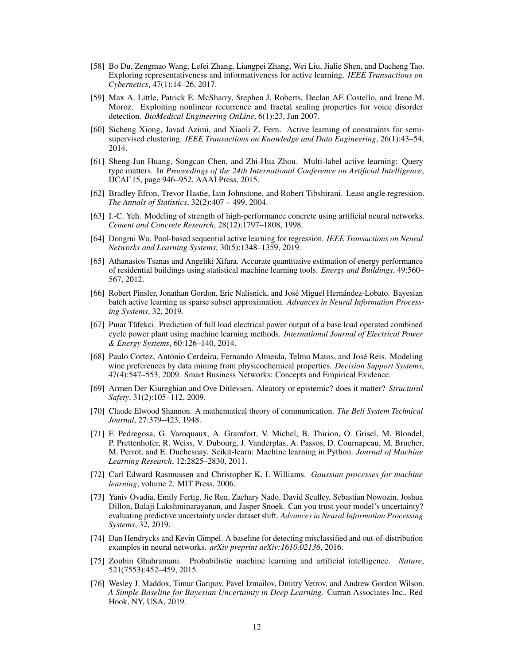- <span id="page-11-1"></span>[58] Bo Du, Zengmao Wang, Lefei Zhang, Liangpei Zhang, Wei Liu, Jialie Shen, and Dacheng Tao. Exploring representativeness and informativeness for active learning. *IEEE Transactions on Cybernetics*, 47(1):14–26, 2017.
- <span id="page-11-2"></span>[59] Max A. Little, Patrick E. McSharry, Stephen J. Roberts, Declan AE Costello, and Irene M. Moroz. Exploiting nonlinear recurrence and fractal scaling properties for voice disorder detection. *BioMedical Engineering OnLine*, 6(1):23, Jun 2007.
- <span id="page-11-3"></span>[60] Sicheng Xiong, Javad Azimi, and Xiaoli Z. Fern. Active learning of constraints for semisupervised clustering. *IEEE Transactions on Knowledge and Data Engineering*, 26(1):43–54, 2014.
- <span id="page-11-4"></span>[61] Sheng-Jun Huang, Songcan Chen, and Zhi-Hua Zhou. Multi-label active learning: Query type matters. In *Proceedings of the 24th International Conference on Artificial Intelligence*, IJCAI'15, page 946–952. AAAI Press, 2015.
- <span id="page-11-5"></span>[62] Bradley Efron, Trevor Hastie, Iain Johnstone, and Robert Tibshirani. Least angle regression. *The Annals of Statistics*, 32(2):407 – 499, 2004.
- <span id="page-11-6"></span>[63] I.-C. Yeh. Modeling of strength of high-performance concrete using artificial neural networks. *Cement and Concrete Research*, 28(12):1797–1808, 1998.
- <span id="page-11-0"></span>[64] Dongrui Wu. Pool-based sequential active learning for regression. *IEEE Transactions on Neural Networks and Learning Systems*, 30(5):1348–1359, 2019.
- <span id="page-11-7"></span>[65] Athanasios Tsanas and Angeliki Xifara. Accurate quantitative estimation of energy performance of residential buildings using statistical machine learning tools. *Energy and Buildings*, 49:560– 567, 2012.
- <span id="page-11-8"></span>[66] Robert Pinsler, Jonathan Gordon, Eric Nalisnick, and José Miguel Hernández-Lobato. Bayesian batch active learning as sparse subset approximation. *Advances in Neural Information Processing Systems*, 32, 2019.
- <span id="page-11-9"></span>[67] Pınar Tüfekci. Prediction of full load electrical power output of a base load operated combined cycle power plant using machine learning methods. *International Journal of Electrical Power & Energy Systems*, 60:126–140, 2014.
- <span id="page-11-10"></span>[68] Paulo Cortez, António Cerdeira, Fernando Almeida, Telmo Matos, and José Reis. Modeling wine preferences by data mining from physicochemical properties. *Decision Support Systems*, 47(4):547–553, 2009. Smart Business Networks: Concepts and Empirical Evidence.
- <span id="page-11-11"></span>[69] Armen Der Kiureghian and Ove Ditlevsen. Aleatory or epistemic? does it matter? *Structural Safety*, 31(2):105–112, 2009.
- <span id="page-11-12"></span>[70] Claude Elwood Shannon. A mathematical theory of communication. *The Bell System Technical Journal*, 27:379–423, 1948.
- <span id="page-11-13"></span>[71] F. Pedregosa, G. Varoquaux, A. Gramfort, V. Michel, B. Thirion, O. Grisel, M. Blondel, P. Prettenhofer, R. Weiss, V. Dubourg, J. Vanderplas, A. Passos, D. Cournapeau, M. Brucher, M. Perrot, and E. Duchesnay. Scikit-learn: Machine learning in Python. *Journal of Machine Learning Research*, 12:2825–2830, 2011.
- <span id="page-11-14"></span>[72] Carl Edward Rasmussen and Christopher K. I. Williams. *Gaussian processes for machine learning*, volume 2. MIT Press, 2006.
- <span id="page-11-15"></span>[73] Yaniv Ovadia, Emily Fertig, Jie Ren, Zachary Nado, David Sculley, Sebastian Nowozin, Joshua Dillon, Balaji Lakshminarayanan, and Jasper Snoek. Can you trust your model's uncertainty? evaluating predictive uncertainty under dataset shift. *Advances in Neural Information Processing Systems*, 32, 2019.
- <span id="page-11-16"></span>[74] Dan Hendrycks and Kevin Gimpel. A baseline for detecting misclassified and out-of-distribution examples in neural networks. *arXiv preprint arXiv:1610.02136*, 2016.
- <span id="page-11-17"></span>[75] Zoubin Ghahramani. Probabilistic machine learning and artificial intelligence. *Nature*, 521(7553):452–459, 2015.
- <span id="page-11-18"></span>[76] Wesley J. Maddox, Timur Garipov, Pavel Izmailov, Dmitry Vetrov, and Andrew Gordon Wilson. *A Simple Baseline for Bayesian Uncertainty in Deep Learning*. Curran Associates Inc., Red Hook, NY, USA, 2019.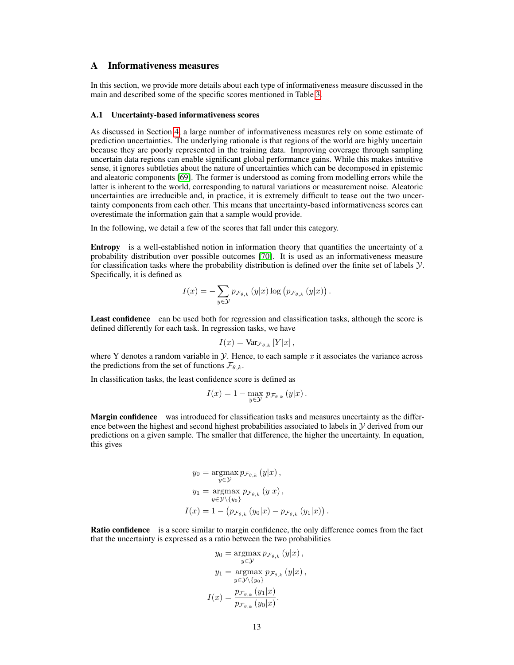# <span id="page-12-0"></span>A Informativeness measures

In this section, we provide more details about each type of informativeness measure discussed in the main and described some of the specific scores mentioned in Table [3.](#page-5-0)

#### A.1 Uncertainty-based informativeness scores

As discussed in Section [4,](#page-4-0) a large number of informativeness measures rely on some estimate of prediction uncertainties. The underlying rationale is that regions of the world are highly uncertain because they are poorly represented in the training data. Improving coverage through sampling uncertain data regions can enable significant global performance gains. While this makes intuitive sense, it ignores subtleties about the nature of uncertainties which can be decomposed in epistemic and aleatoric components [\[69\]](#page-11-11). The former is understood as coming from modelling errors while the latter is inherent to the world, corresponding to natural variations or measurement noise. Aleatoric uncertainties are irreducible and, in practice, it is extremely difficult to tease out the two uncertainty components from each other. This means that uncertainty-based informativeness scores can overestimate the information gain that a sample would provide.

In the following, we detail a few of the scores that fall under this category.

Entropy is a well-established notion in information theory that quantifies the uncertainty of a probability distribution over possible outcomes [\[70\]](#page-11-12). It is used as an informativeness measure for classification tasks where the probability distribution is defined over the finite set of labels  $\mathcal{Y}$ . Specifically, it is defined as

$$
I(x) = -\sum_{y \in \mathcal{Y}} p_{\mathcal{F}_{\theta,k}}(y|x) \log (p_{\mathcal{F}_{\theta,k}}(y|x)).
$$

Least confidence can be used both for regression and classification tasks, although the score is defined differently for each task. In regression tasks, we have

$$
I(x) = \text{Var}_{\mathcal{F}_{\theta,k}}[Y|x],
$$

where Y denotes a random variable in  $\mathcal Y$ . Hence, to each sample x it associates the variance across the predictions from the set of functions  $\mathcal{F}_{\theta,k}$ .

In classification tasks, the least confidence score is defined as

$$
I(x) = 1 - \max_{y \in \mathcal{Y}} p_{\mathcal{F}_{\theta,k}}(y|x).
$$

Margin confidence was introduced for classification tasks and measures uncertainty as the difference between the highest and second highest probabilities associated to labels in  $\mathcal Y$  derived from our predictions on a given sample. The smaller that difference, the higher the uncertainty. In equation, this gives

$$
y_0 = \operatorname*{argmax}_{y \in \mathcal{Y}} p_{\mathcal{F}_{\theta,k}}(y|x),
$$
  
\n
$$
y_1 = \operatorname*{argmax}_{y \in \mathcal{Y} \setminus \{y_0\}} p_{\mathcal{F}_{\theta,k}}(y|x),
$$
  
\n
$$
I(x) = 1 - (p_{\mathcal{F}_{\theta,k}}(y_0|x) - p_{\mathcal{F}_{\theta,k}}(y_1|x)).
$$

Ratio confidence is a score similar to margin confidence, the only difference comes from the fact that the uncertainty is expressed as a ratio between the two probabilities

$$
y_0 = \operatorname*{argmax}_{y \in \mathcal{Y}} p_{\mathcal{F}_{\theta,k}}(y|x),
$$

$$
y_1 = \operatorname*{argmax}_{y \in \mathcal{Y} \setminus \{y_0\}} p_{\mathcal{F}_{\theta,k}}(y|x),
$$

$$
I(x) = \frac{p_{\mathcal{F}_{\theta,k}}(y_1|x)}{p_{\mathcal{F}_{\theta,k}}(y_0|x)}.
$$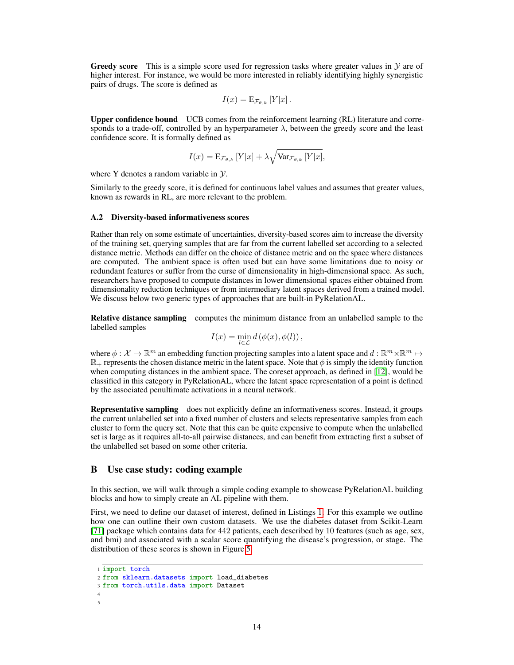**Greedy score** This is a simple score used for regression tasks where greater values in  $\mathcal{Y}$  are of higher interest. For instance, we would be more interested in reliably identifying highly synergistic pairs of drugs. The score is defined as

$$
I(x) = \mathbf{E}_{\mathcal{F}_{\theta,k}}[Y|x].
$$

Upper confidence bound UCB comes from the reinforcement learning (RL) literature and corresponds to a trade-off, controlled by an hyperparameter  $\lambda$ , between the greedy score and the least confidence score. It is formally defined as

$$
I(x) = \mathbf{E}_{\mathcal{F}_{\theta,k}} \left[ Y|x \right] + \lambda \sqrt{\text{Var}_{\mathcal{F}_{\theta,k}} \left[ Y|x \right]},
$$

where Y denotes a random variable in  $\mathcal{Y}$ .

Similarly to the greedy score, it is defined for continuous label values and assumes that greater values, known as rewards in RL, are more relevant to the problem.

#### A.2 Diversity-based informativeness scores

Rather than rely on some estimate of uncertainties, diversity-based scores aim to increase the diversity of the training set, querying samples that are far from the current labelled set according to a selected distance metric. Methods can differ on the choice of distance metric and on the space where distances are computed. The ambient space is often used but can have some limitations due to noisy or redundant features or suffer from the curse of dimensionality in high-dimensional space. As such, researchers have proposed to compute distances in lower dimensional spaces either obtained from dimensionality reduction techniques or from intermediary latent spaces derived from a trained model. We discuss below two generic types of approaches that are built-in PyRelationAL.

Relative distance sampling computes the minimum distance from an unlabelled sample to the labelled samples

$$
I(x) = \min_{l \in \mathcal{L}} d(\phi(x), \phi(l)),
$$

where  $\phi: \mathcal{X} \mapsto \mathbb{R}^m$  an embedding function projecting samples into a latent space and  $d : \mathbb{R}^m \times \mathbb{R}^m \mapsto$  $\mathbb{R}_+$  represents the chosen distance metric in the latent space. Note that  $\phi$  is simply the identity function when computing distances in the ambient space. The coreset approach, as defined in [\[12\]](#page-8-11), would be classified in this category in PyRelationAL, where the latent space representation of a point is defined by the associated penultimate activations in a neural network.

Representative sampling does not explicitly define an informativeness scores. Instead, it groups the current unlabelled set into a fixed number of clusters and selects representative samples from each cluster to form the query set. Note that this can be quite expensive to compute when the unlabelled set is large as it requires all-to-all pairwise distances, and can benefit from extracting first a subset of the unlabelled set based on some other criteria.

#### <span id="page-13-0"></span>B Use case study: coding example

In this section, we will walk through a simple coding example to showcase PyRelationAL building blocks and how to simply create an AL pipeline with them.

First, we need to define our dataset of interest, defined in Listings [1.](#page-13-1) For this example we outline how one can outline their own custom datasets. We use the diabetes dataset from Scikit-Learn [\[71\]](#page-11-13) package which contains data for 442 patients, each described by 10 features (such as age, sex, and bmi) and associated with a scalar score quantifying the disease's progression, or stage. The distribution of these scores is shown in Figure [5.](#page-14-0)

```
1 import torch
2 from sklearn.datasets import load_diabetes
3 from torch.utils.data import Dataset
4
5
```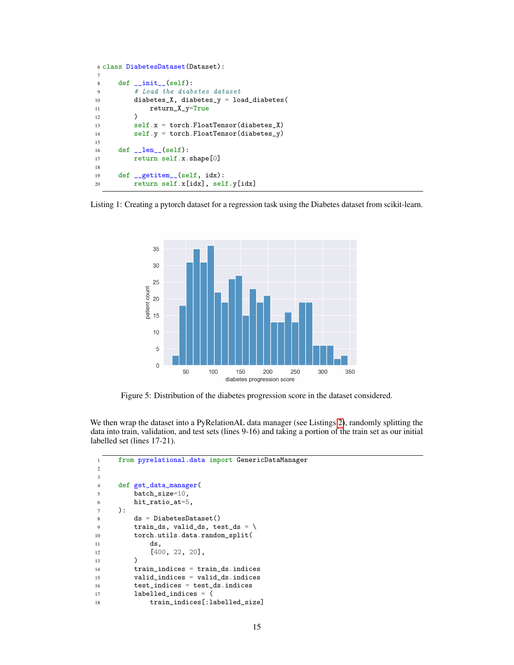```
6 class DiabetesDataset(Dataset):
7
8 def \_init\_(self):9 # Load the diabetes dataset
10 diabetes_X, diabetes_y = load_diabetes(
11 return_X_y=True
12 )
13 self.x = torch.FloatTensor(diabetes_X)
14 self.y = torch.FloatTensor(diabetes_y)
15
16 def _llen_{l}(\text{self}):17 return self.x.shape[0]
18
19 def __getitem__(self, idx):<br>20 return self.x[idx], sel
         return self.x[idx], self.y[idx]
```
<span id="page-14-0"></span>



Figure 5: Distribution of the diabetes progression score in the dataset considered.

We then wrap the dataset into a PyRelationAL data manager (see Listings [2\)](#page-14-1), randomly splitting the data into train, validation, and test sets (lines 9-16) and taking a portion of the train set as our initial labelled set (lines 17-21).

```
1 from pyrelational.data import GenericDataManager
2
3
4 def get_data_manager(
5 batch_size=10,
6 hit_ratio_at=5,
7 ):
8 ds = DiabetesDataset()
9 train_ds, valid_ds, test_ds = \setminus10 torch.utils.data.random_split(
11 ds,
12 [400, 22, 20],
13 )
14 train_indices = train_ds.indices
15 valid_indices = valid_ds.indices
16 test_indices = test_ds.indices
17 labelled_indices = (
18 train_indices[:labelled_size]
```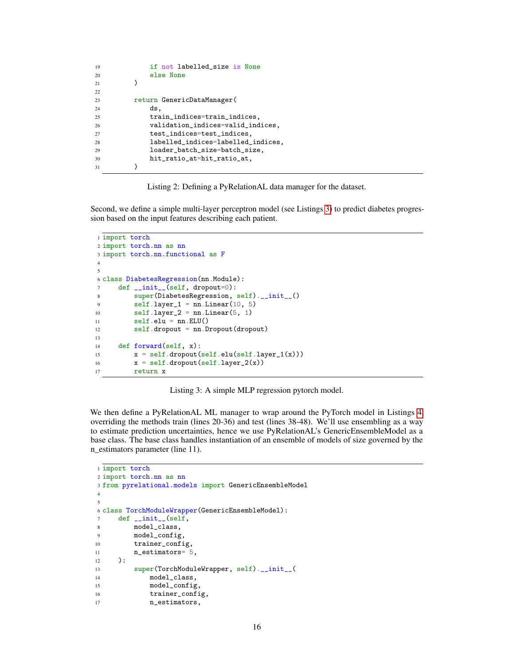| 19 | if not labelled_size is None       |
|----|------------------------------------|
| 20 | else None                          |
| 21 |                                    |
| 22 |                                    |
| 23 | return GenericDataManager(         |
| 24 | ds.                                |
| 25 | train_indices=train_indices,       |
| 26 | validation_indices=valid_indices,  |
| 27 | test_indices=test_indices,         |
| 28 | labelled_indices=labelled_indices, |
| 29 | loader_batch_size=batch_size,      |
| 30 | hit_ratio_at=hit_ratio_at,         |
| 31 |                                    |

Listing 2: Defining a PyRelationAL data manager for the dataset.

<span id="page-15-0"></span>Second, we define a simple multi-layer perceptron model (see Listings [3\)](#page-15-0) to predict diabetes progression based on the input features describing each patient.

```
1 import torch
2 import torch.nn as nn
3 import torch.nn.functional as F
4
5
6 class DiabetesRegression(nn.Module):
7 def __init__(self, dropout=0):
8 super(DiabetesRegression, self).__init__()
9 selfu = nn.Linear(10, 5)10 selfu = nn.Linear(5, 1)11 self.edu = nn.ELU()12 self.dropout = nn.Dropout(dropout)
13
14 def forward(self, x):<br>
x = self.dropout(x = self.dropout(self.edu(self.langer_1(x)))16 x = self.dropout(self.layer_2(x))17 return x
```
Listing 3: A simple MLP regression pytorch model.

We then define a PyRelationAL ML manager to wrap around the PyTorch model in Listings [4,](#page-15-1) overriding the methods train (lines 20-36) and test (lines 38-48). We'll use ensembling as a way to estimate prediction uncertainties, hence we use PyRelationAL's GenericEnsembleModel as a base class. The base class handles instantiation of an ensemble of models of size governed by the n\_estimators parameter (line 11).

```
1 import torch
2 import torch.nn as nn
3 from pyrelational.models import GenericEnsembleModel
4
5
6 class TorchModuleWrapper(GenericEnsembleModel):
7 def __init__(self,
8 model_class,
9 model_config,
10 trainer_config,
11 n_estimators= 5,
12 ):
13 super(TorchModuleWrapper, self).__init__(
14 model_class,<br>15 model_config
            model_config,
16 trainer_config,
17 n_estimators,
```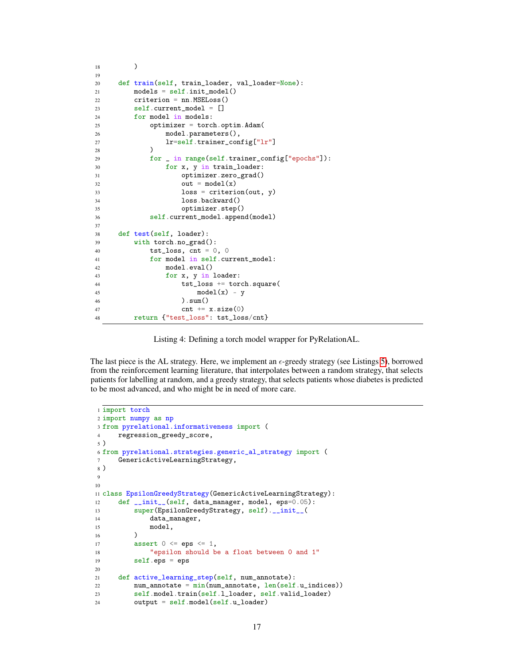```
18 )
19
20 def train(self, train_loader, val_loader=None):
21 models = self.init_model()22 criterion = nn.MSELoss()
23 self.current_model = []
24 for model in models:
25 optimizer = torch.optim.Adam(
26 model.parameters(),
27 lr=self.trainer_config["lr"]
28 )
29 for _ in range(self.trainer_config["epochs"]):
30 for x, y in train_loader:
31 optimizer.zero_grad()
32 out = model(x)
33 loss = criterion(out, y)
34 loss.backward()
35 optimizer.step()
36 self.current_model.append(model)
37
38 def test(self, loader):
39 with torch.no_grad():
40 \text{tst_loss, cnt} = 0, 041 for model in self.current_model:
42 model.eval()
43 for x, y in loader:
44 tst_loss += torch.square(
45 model(x) - y
46 ).sum()
47 cnt += x.size(0)48 return {"test_loss": tst_loss/cnt}
```
Listing 4: Defining a torch model wrapper for PyRelationAL.

The last piece is the AL strategy. Here, we implement an  $\epsilon$ -greedy strategy (see Listings [5\)](#page-16-0), borrowed from the reinforcement learning literature, that interpolates between a random strategy, that selects patients for labelling at random, and a greedy strategy, that selects patients whose diabetes is predicted to be most advanced, and who might be in need of more care.

```
1 import torch
2 import numpy as np
3 from pyrelational.informativeness import (
4 regression_greedy_score,
5 )
6 from pyrelational.strategies.generic_al_strategy import (
7 GenericActiveLearningStrategy,
8 )
9
10
11 class EpsilonGreedyStrategy(GenericActiveLearningStrategy):
12 def __init__(self, data_manager, model, eps=0.05):
13 super(EpsilonGreedyStrategy, self).__init__(
14 data_manager,
\begin{array}{c} 15 \qquad \qquad \text{model,} \\ 16 \qquad \qquad \end{array}16\,17 assert 0 \leq \text{eps} \leq 1,
18 "epsilon should be a float between 0 and 1"
19 self.eps = eps
20
21 def active_learning_step(self, num_annotate):<br>
22 num_annotate = min(num_0annotate, len(self))num\_annotate = min(num\_annotate, len(self.u\_indices))23 self.model.train(self.l_loader, self.valid_loader)
24 output = self.model(self.u_loader)
```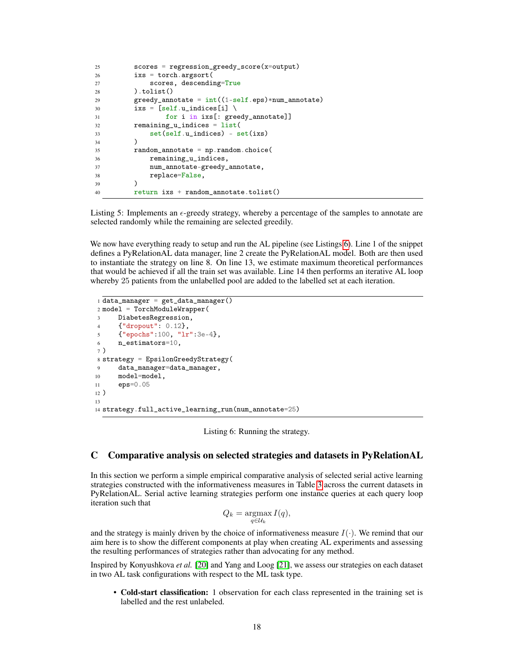```
25 scores = regression_greedy_score(x=output)
26 ixs = torch.argsort(
27 scores, descending=True
28 ).tolist()
29 greedy_annotate = int((1-self.eps)*num_annotate)30 ixs = [self.u_indices[i] \
31 for i in ixs[: greedy_annotate]]
32 remaining_u_indices = list(
33 set(self.u_indices) - set(ixs)
34 )
35 random_annotate = np.random.choice(
36 remaining_u_indices,
37 num_annotate-greedy_annotate,
\begin{array}{ccc} 38 & \text{replace=False,} \\ 39 & \text{)} \end{array}39 )
40 return ixs + random_annotate.tolist()
```
Listing 5: Implements an  $\epsilon$ -greedy strategy, whereby a percentage of the samples to annotate are selected randomly while the remaining are selected greedily.

We now have everything ready to setup and run the AL pipeline (see Listings [6\)](#page-17-1). Line 1 of the snippet defines a PyRelationAL data manager, line 2 create the PyRelationAL model. Both are then used to instantiate the strategy on line 8. On line 13, we estimate maximum theoretical performances that would be achieved if all the train set was available. Line 14 then performs an iterative AL loop whereby 25 patients from the unlabelled pool are added to the labelled set at each iteration.

```
1 data_manager = get_data_manager()
2 model = TorchModuleWrapper(
3 DiabetesRegression,
4 {"dropout": 0.12},
5 {"epochs":100, "lr":3e-4},
6 n_estimators=10,
7 )
8 strategy = EpsilonGreedyStrategy(
9 data_manager=data_manager,
10 model=model,
11 eps=0.05
12 )
13
14 strategy.full_active_learning_run(num_annotate=25)
```
Listing 6: Running the strategy.

#### <span id="page-17-0"></span>C Comparative analysis on selected strategies and datasets in PyRelationAL

In this section we perform a simple empirical comparative analysis of selected serial active learning strategies constructed with the informativeness measures in Table [3](#page-5-0) across the current datasets in PyRelationAL. Serial active learning strategies perform one instance queries at each query loop iteration such that

$$
Q_k = \operatorname*{argmax}_{q \in \mathcal{U}_k} I(q),
$$

and the strategy is mainly driven by the choice of informativeness measure  $I(\cdot)$ . We remind that our aim here is to show the different components at play when creating AL experiments and assessing the resulting performances of strategies rather than advocating for any method.

Inspired by Konyushkova *et al.* [\[20\]](#page-9-1) and Yang and Loog [\[21\]](#page-9-2), we assess our strategies on each dataset in two AL task configurations with respect to the ML task type.

• Cold-start classification: 1 observation for each class represented in the training set is labelled and the rest unlabeled.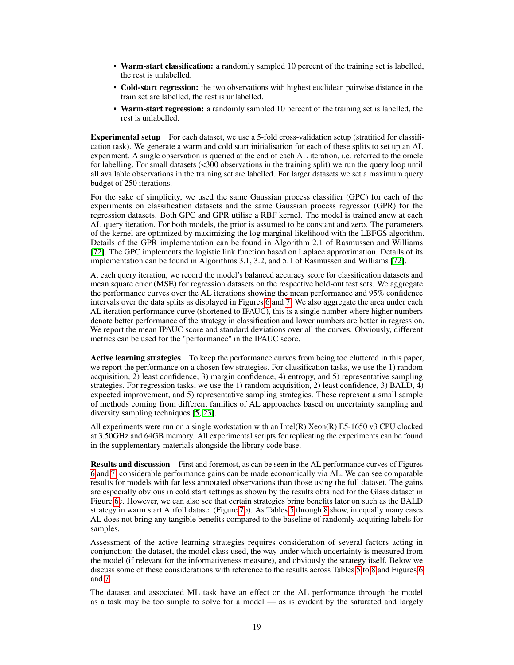- Warm-start classification: a randomly sampled 10 percent of the training set is labelled, the rest is unlabelled.
- Cold-start regression: the two observations with highest euclidean pairwise distance in the train set are labelled, the rest is unlabelled.
- Warm-start regression: a randomly sampled 10 percent of the training set is labelled, the rest is unlabelled.

Experimental setup For each dataset, we use a 5-fold cross-validation setup (stratified for classification task). We generate a warm and cold start initialisation for each of these splits to set up an AL experiment. A single observation is queried at the end of each AL iteration, i.e. referred to the oracle for labelling. For small datasets (<300 observations in the training split) we run the query loop until all available observations in the training set are labelled. For larger datasets we set a maximum query budget of 250 iterations.

For the sake of simplicity, we used the same Gaussian process classifier (GPC) for each of the experiments on classification datasets and the same Gaussian process regressor (GPR) for the regression datasets. Both GPC and GPR utilise a RBF kernel. The model is trained anew at each AL query iteration. For both models, the prior is assumed to be constant and zero. The parameters of the kernel are optimized by maximizing the log marginal likelihood with the LBFGS algorithm. Details of the GPR implementation can be found in Algorithm 2.1 of Rasmussen and Williams [\[72\]](#page-11-14). The GPC implements the logistic link function based on Laplace approximation. Details of its implementation can be found in Algorithms 3.1, 3.2, and 5.1 of Rasmussen and Williams [\[72\]](#page-11-14).

At each query iteration, we record the model's balanced accuracy score for classification datasets and mean square error (MSE) for regression datasets on the respective hold-out test sets. We aggregate the performance curves over the AL iterations showing the mean performance and 95% confidence intervals over the data splits as displayed in Figures [6](#page-21-0) and [7.](#page-21-1) We also aggregate the area under each AL iteration performance curve (shortened to IPAUC), this is a single number where higher numbers denote better performance of the strategy in classification and lower numbers are better in regression. We report the mean IPAUC score and standard deviations over all the curves. Obviously, different metrics can be used for the "performance" in the IPAUC score.

Active learning strategies To keep the performance curves from being too cluttered in this paper, we report the performance on a chosen few strategies. For classification tasks, we use the 1) random acquisition, 2) least confidence, 3) margin confidence, 4) entropy, and 5) representative sampling strategies. For regression tasks, we use the 1) random acquisition, 2) least confidence, 3) BALD, 4) expected improvement, and 5) representative sampling strategies. These represent a small sample of methods coming from different families of AL approaches based on uncertainty sampling and diversity sampling techniques [\[5,](#page-8-4) [23\]](#page-9-4).

All experiments were run on a single workstation with an Intel(R) Xeon(R) E5-1650 v3 CPU clocked at 3.50GHz and 64GB memory. All experimental scripts for replicating the experiments can be found in the supplementary materials alongside the library code base.

Results and discussion First and foremost, as can be seen in the AL performance curves of Figures [6](#page-21-0) and [7,](#page-21-1) considerable performance gains can be made economically via AL. We can see comparable results for models with far less annotated observations than those using the full dataset. The gains are especially obvious in cold start settings as shown by the results obtained for the Glass dataset in Figure [6c](#page-21-0). However, we can also see that certain strategies bring benefits later on such as the BALD strategy in warm start Airfoil dataset (Figure [7b](#page-21-1)). As Tables [5](#page-20-0) through [8](#page-20-1) show, in equally many cases AL does not bring any tangible benefits compared to the baseline of randomly acquiring labels for samples.

Assessment of the active learning strategies requires consideration of several factors acting in conjunction: the dataset, the model class used, the way under which uncertainty is measured from the model (if relevant for the informativeness measure), and obviously the strategy itself. Below we discuss some of these considerations with reference to the results across Tables [5](#page-20-0) to [8](#page-20-1) and Figures [6](#page-21-0) and [7.](#page-21-1)

The dataset and associated ML task have an effect on the AL performance through the model as a task may be too simple to solve for a model — as is evident by the saturated and largely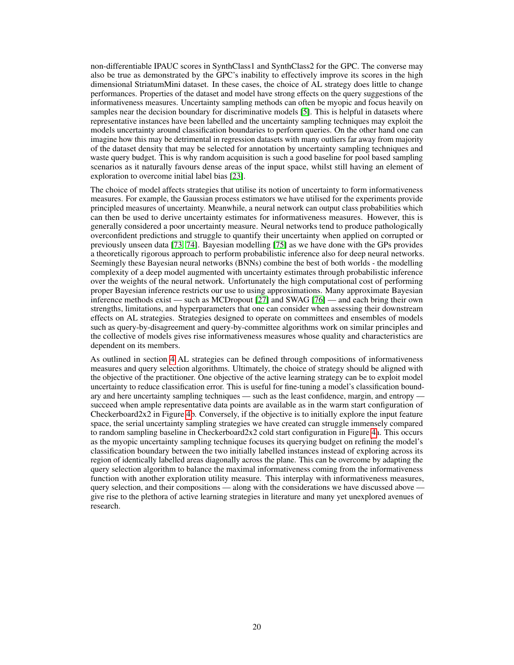non-differentiable IPAUC scores in SynthClass1 and SynthClass2 for the GPC. The converse may also be true as demonstrated by the GPC's inability to effectively improve its scores in the high dimensional StriatumMini dataset. In these cases, the choice of AL strategy does little to change performances. Properties of the dataset and model have strong effects on the query suggestions of the informativeness measures. Uncertainty sampling methods can often be myopic and focus heavily on samples near the decision boundary for discriminative models [\[5\]](#page-8-4). This is helpful in datasets where representative instances have been labelled and the uncertainty sampling techniques may exploit the models uncertainty around classification boundaries to perform queries. On the other hand one can imagine how this may be detrimental in regression datasets with many outliers far away from majority of the dataset density that may be selected for annotation by uncertainty sampling techniques and waste query budget. This is why random acquisition is such a good baseline for pool based sampling scenarios as it naturally favours dense areas of the input space, whilst still having an element of exploration to overcome initial label bias [\[23\]](#page-9-4).

The choice of model affects strategies that utilise its notion of uncertainty to form informativeness measures. For example, the Gaussian process estimators we have utilised for the experiments provide principled measures of uncertainty. Meanwhile, a neural network can output class probabilities which can then be used to derive uncertainty estimates for informativeness measures. However, this is generally considered a poor uncertainty measure. Neural networks tend to produce pathologically overconfident predictions and struggle to quantify their uncertainty when applied on corrupted or previously unseen data [\[73,](#page-11-15) [74\]](#page-11-16). Bayesian modelling [\[75\]](#page-11-17) as we have done with the GPs provides a theoretically rigorous approach to perform probabilistic inference also for deep neural networks. Seemingly these Bayesian neural networks (BNNs) combine the best of both worlds - the modelling complexity of a deep model augmented with uncertainty estimates through probabilistic inference over the weights of the neural network. Unfortunately the high computational cost of performing proper Bayesian inference restricts our use to using approximations. Many approximate Bayesian inference methods exist — such as MCDropout [\[27\]](#page-9-8) and SWAG [\[76\]](#page-11-18) — and each bring their own strengths, limitations, and hyperparameters that one can consider when assessing their downstream effects on AL strategies. Strategies designed to operate on committees and ensembles of models such as query-by-disagreement and query-by-committee algorithms work on similar principles and the collective of models gives rise informativeness measures whose quality and characteristics are dependent on its members.

As outlined in section [4](#page-4-0) AL strategies can be defined through compositions of informativeness measures and query selection algorithms. Ultimately, the choice of strategy should be aligned with the objective of the practitioner. One objective of the active learning strategy can be to exploit model uncertainty to reduce classification error. This is useful for fine-tuning a model's classification boundary and here uncertainty sampling techniques — such as the least confidence, margin, and entropy succeed when ample representative data points are available as in the warm start configuration of Checkerboard2x2 in Figure [4b](#page-7-0). Conversely, if the objective is to initially explore the input feature space, the serial uncertainty sampling strategies we have created can struggle immensely compared to random sampling baseline in Checkerboard2x2 cold start configuration in Figure [4a](#page-7-0). This occurs as the myopic uncertainty sampling technique focuses its querying budget on refining the model's classification boundary between the two initially labelled instances instead of exploring across its region of identically labelled areas diagonally across the plane. This can be overcome by adapting the query selection algorithm to balance the maximal informativeness coming from the informativeness function with another exploration utility measure. This interplay with informativeness measures, query selection, and their compositions — along with the considerations we have discussed above give rise to the plethora of active learning strategies in literature and many yet unexplored avenues of research.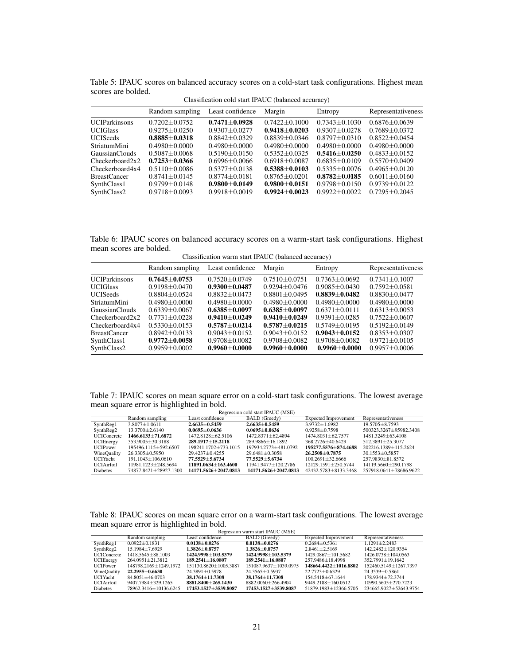| Classification cold start IPAUC (balanced accuracy) |                     |                     |                   |                     |                     |  |
|-----------------------------------------------------|---------------------|---------------------|-------------------|---------------------|---------------------|--|
|                                                     | Random sampling     | Least confidence    | Margin            | Entropy             | Representativeness  |  |
| <b>UCIParkinsons</b>                                | $0.7202 + 0.0752$   | $0.7471 + 0.0928$   | $0.7422 + 0.1000$ | $0.7343 + 0.1030$   | $0.6876 + 0.0639$   |  |
| <b>UCIGlass</b>                                     | $0.9275 \pm 0.0250$ | $0.9307 + 0.0277$   | $0.9418 + 0.0203$ | $0.9307 + 0.0278$   | $0.7689 + 0.0372$   |  |
| <b>UCISeeds</b>                                     | $0.8885 + 0.0318$   | $0.8842 + 0.0329$   | $0.8839 + 0.0346$ | $0.8797 + 0.0310$   | $0.8522 \pm 0.0454$ |  |
| <b>StriatumMini</b>                                 | $0.4980 + 0.0000$   | $0.4980 + 0.0000$   | $0.4980 + 0.0000$ | $0.4980 + 0.0000$   | $0.4980 + 0.0000$   |  |
| GaussianClouds                                      | $0.5087 + 0.0068$   | $0.5190 + 0.0150$   | $0.5352 + 0.0325$ | $0.5416 + 0.0250$   | $0.4833 + 0.0152$   |  |
| Checkerboard2x2                                     | $0.7253 + 0.0366$   | $0.6996 + 0.0066$   | $0.6918 + 0.0087$ | $0.6835 + 0.0109$   | $0.5570 \pm 0.0409$ |  |
| Checkerboard4x4                                     | $0.5110 + 0.0086$   | $0.5377 + 0.0138$   | $0.5388 + 0.0103$ | $0.5335 + 0.0076$   | $0.4965 + 0.0120$   |  |
| <b>BreastCancer</b>                                 | $0.8741 + 0.0145$   | $0.8774 \pm 0.0181$ | $0.8765 + 0.0201$ | $0.8782 + 0.0185$   | $0.6011 + 0.0160$   |  |
| SynthClass1                                         | $0.9799 + 0.0148$   | $0.9800 \pm 0.0149$ | $0.9800 + 0.0151$ | $0.9798 \pm 0.0150$ | $0.9739 \pm 0.0122$ |  |
| SynthClass2                                         | $0.9718 + 0.0093$   | $0.9918 \pm 0.0019$ | $0.9924 + 0.0023$ | $0.9922 \pm 0.0022$ | $0.7295 + 0.2045$   |  |

<span id="page-20-0"></span>Table 5: IPAUC scores on balanced accuracy scores on a cold-start task configurations. Highest mean scores are bolded.

Table 6: IPAUC scores on balanced accuracy scores on a warm-start task configurations. Highest mean scores are bolded.

Classification warm start IPAUC (balanced accuracy)

|                      | Random sampling   | Least confidence    | Margin              | Entropy           | Representativeness  |
|----------------------|-------------------|---------------------|---------------------|-------------------|---------------------|
| <b>UCIParkinsons</b> | $0.7645 + 0.0753$ | $0.7520 + 0.0749$   | $0.7510 + 0.0751$   | $0.7363 + 0.0692$ | $0.7341 + 0.1007$   |
| <b>UCIGlass</b>      | $0.9198 + 0.0470$ | $0.9300 + 0.0487$   | $0.9294 + 0.0476$   | $0.9085 + 0.0430$ | $0.7592 + 0.0581$   |
| <b>UCISeeds</b>      | $0.8804 + 0.0524$ | $0.8832 + 0.0473$   | $0.8801 + 0.0495$   | $0.8839+0.0482$   | $0.8830 + 0.0477$   |
| <b>StriatumMini</b>  | $0.4980 + 0.0000$ | $0.4980 + 0.0000$   | $0.4980 + 0.0000$   | $0.4980 + 0.0000$ | $0.4980 + 0.0000$   |
| GaussianClouds       | $0.6339 + 0.0067$ | $0.6385 + 0.0097$   | $0.6385 + 0.0097$   | $0.6371 + 0.0111$ | $0.6313 + 0.0053$   |
| Checkerboard2x2      | $0.7731 + 0.0228$ | $0.9410 + 0.0249$   | $0.9410 + 0.0249$   | $0.9391 + 0.0285$ | $0.7522 + 0.0607$   |
| Checkerboard4x4      | $0.5330 + 0.0153$ | $0.5787 + 0.0214$   | $0.5787 + 0.0215$   | $0.5749 + 0.0195$ | $0.5192 + 0.0149$   |
| <b>BreastCancer</b>  | $0.8942 + 0.0133$ | $0.9043 + 0.0152$   | $0.9043 + 0.0152$   | $0.9043 + 0.0152$ | $0.8353 + 0.0307$   |
| SynthClass1          | $0.9772 + 0.0058$ | $0.9708 + 0.0082$   | $0.9708 + 0.0082$   | $0.9708 + 0.0082$ | $0.9721 + 0.0105$   |
| SynthClass2          | $0.9959 + 0.0002$ | $0.9960 \pm 0.0000$ | $0.9960 \pm 0.0000$ | $0.9960 + 0.0000$ | $0.9957 \pm 0.0006$ |

Table 7: IPAUC scores on mean square error on a cold-start task configurations. The lowest average mean square error is highlighted in bold. esion cold start IPAUC (MSE)

|                    | Regression cold start if AOC (MISE) |                        |                      |                             |                        |  |
|--------------------|-------------------------------------|------------------------|----------------------|-----------------------------|------------------------|--|
|                    | Random sampling                     | Least confidence       | <b>BALD</b> (Greedy) | <b>Expected Improvement</b> | Representativeness     |  |
| SynthReg1          | $3.8077 + 1.0611$                   | $2.6635+0.5459$        | $2.6635+0.5459$      | $3.9732 + 1.6982$           | $19.5705 + 8.7593$     |  |
| SynthReg2          | $13.3700 \pm 2.6140$                | $0.0695 + 0.0636$      | $0.0695 + 0.0636$    | $0.9258 + 0.7598$           | 500323.3267±95982.3408 |  |
| <b>UCIConcrete</b> | 1466.6133+71.6872                   | 1472.8128±62.5106      | 1472.8371±62.4894    | $1474.8031 + 62.7577$       | 1481.3249+63.4108      |  |
| <b>UCIEnergy</b>   | $353.9005 \pm 30.3188$              | $289.1917 \pm 15.2118$ | 289.9866+16.1892     | 368.2726+40.6429            | 512.3891±25.3077       |  |
| <b>UCIPower</b>    | 195496.1115±592.6507                | 198241.1702±733.1015   | 197934.2773+481.0792 | 195277.5576+874.4688        | 202216.1389±115.2624   |  |
| WineQuality        | 26.3305±0.5950                      | $29.4237 + 0.4255$     | $29.6481 + 0.3058$   | $26.2508 + 0.7875$          | $30.1553 + 0.5857$     |  |
| UCIYacht           | $191.1043 \pm 106.0610$             | 77.5529+5.6734         | $77.5529 + 5.6734$   | $100.2691 + 32.6666$        | 257.9830±81.8572       |  |
| UCIAirfoil         | 11981.1223±248.5694                 | 11891.0634+163.4600    | 11941.9477±120.2786  | 12129.1591±250.5744         | 14119.5660±290.1798    |  |
| <b>Diabetes</b>    | 74877.8421+28927.1300               | 14171.5626+2047.0813   | 14171.5626+2047.0813 | 42432.5783±8133.3468        | 257918.0641+78686.9622 |  |

<span id="page-20-1"></span>Table 8: IPAUC scores on mean square error on a warm-start task configurations. The lowest average mean square error is highlighted in bold. etart IPAUC (MSE)

|                     | Regression warm start IPAUC (MSE) |                        |                       |                             |                        |  |  |
|---------------------|-----------------------------------|------------------------|-----------------------|-----------------------------|------------------------|--|--|
|                     | Random sampling                   | Least confidence       | <b>BALD</b> (Greedy)  | <b>Expected Improvement</b> | Representativeness     |  |  |
| SynthReg1           | $0.0922 \pm 0.1831$               | $0.0138 + 0.0276$      | $0.0138 + 0.0276$     | $0.2684 + 0.5361$           | $1.1291 \pm 2.2483$    |  |  |
| SynthReg2           | $15.1984 \pm 7.6929$              | $1.3826 + 0.8757$      | $1.3826 + 0.8757$     | $2.8461 \pm 2.5169$         | 142.2482±120.9354      |  |  |
| <b>UCIC</b> oncrete | 1418.5645 + 88.1003               | 1424.9998+103.5379     | 1424.9998+103.5379    | 1429.0867+101.5682          | 1426.0738+104.0563     |  |  |
| <b>UCIEnergy</b>    | $264.0951 \pm 21.3812$            | $189.2541 + 16.0807$   | $189.2541 + 16.0807$  | 257.9486+18.4998            | $352.7991 + 19.1642$   |  |  |
| <b>UCIPower</b>     | 148798.2169±1249.1972             | 151130.8620±1005.3887  | 151087.9637±1039.0975 | 148664.4422+1016.8802       | 152460.5149±1267.7397  |  |  |
| WineQuality         | $22.2955+0.6630$                  | $24.3891 \pm 0.5978$   | $24.3565 + 0.5937$    | $22.7723 + 0.6329$          | $24.3539 + 0.5861$     |  |  |
| UCIYacht            | $84.8051 + 46.0703$               | $38.1764 + 11.7308$    | $38.1764 + 11.7308$   | 154.5418+67.1644            | 178.9344+72.3744       |  |  |
| <b>UCIAirfoil</b>   | 9407.7984+329.1265                | 8881.8400+265.1430     | 8882.0060+266.4904    | 9449.2188±160.0512          | 10990.5605±270.7223    |  |  |
| <b>Diabetes</b>     | 78962.3416±10136.6245             | 17453.1527 + 3539.8087 | 17453.1527±3539.8087  | 51879.1983±12366.5705       | 234665.9027±52643.9754 |  |  |